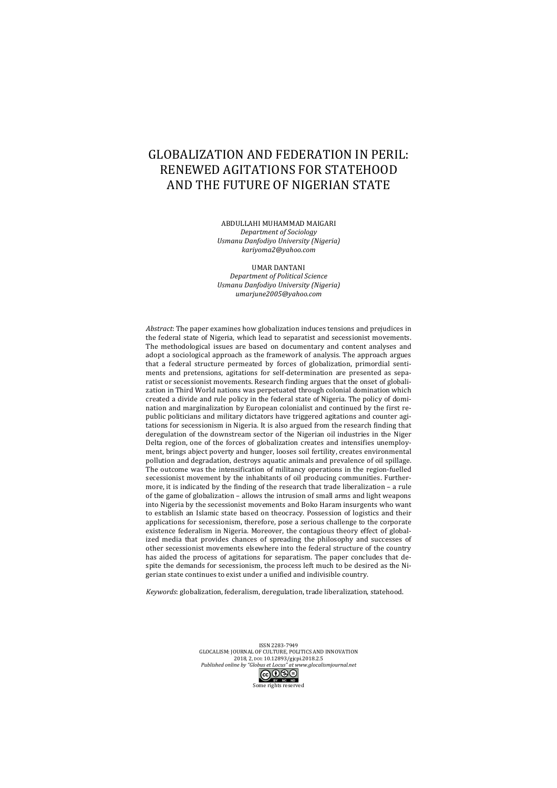# GLOBALIZATION AND FEDERATION IN PERIL: RENEWED AGITATIONS FOR STATEHOOD AND THE FUTURE OF NIGERIAN STATE

ABDULLAHI MUHAMMAD MAIGARI *Department of Sociology Usmanu Danfodiyo University (Nigeria) kariyoma2@yahoo.com*

UMAR DANTANI *Department of Political Science Usmanu Danfodiyo University (Nigeria) umarjune2005@yahoo.com*

*Abstract*: The paper examines how globalization induces tensions and prejudices in the federal state of Nigeria, which lead to separatist and secessionist movements. The methodological issues are based on documentary and content analyses and adopt a sociological approach as the framework of analysis. The approach argues that a federal structure permeated by forces of globalization, primordial sentiments and pretensions, agitations for self-determination are presented as separatist or secessionist movements. Research finding argues that the onset of globalization in Third World nations was perpetuated through colonial domination which created a divide and rule policy in the federal state of Nigeria. The policy of domination and marginalization by European colonialist and continued by the first republic politicians and military dictators have triggered agitations and counter agitations for secessionism in Nigeria. It is also argued from the research finding that  $\alpha$  deregulation of the downstream sector of the Nigerian oil industries in the Niger Delta region, one of the forces of globalization creates and intensifies unemployment, brings abject poverty and hunger, looses soil fertility, creates environmental pollution and degradation, destroys aquatic animals and prevalence of oil spillage. The outcome was the intensification of militancy operations in the region-fuelled secessionist movement by the inhabitants of oil producing communities. Furthermore, it is indicated by the finding of the research that trade liberalization - a rule of the game of globalization - allows the intrusion of small arms and light weapons into Nigeria by the secessionist movements and Boko Haram insurgents who want to establish an Islamic state based on theocracy. Possession of logistics and their applications for secessionism, therefore, pose a serious challenge to the corporate  $\overrightarrow{R}$  existence federalism in Nigeria. Moreover, the contagious theory effect of globalized media that provides chances of spreading the philosophy and successes of other secessionist movements elsewhere into the federal structure of the country has aided the process of agitations for separatism. The paper concludes that despite the demands for secessionism, the process left much to be desired as the Nigerian state continues to exist under a unified and indivisible country.

*Keywords*: globalization, federalism, deregulation, trade liberalization, statehood.

ISSN 2283-7949 GLOCALISM: JOURNAL OF CULTURE, POLITICS AND INNOVATION 2018, 2, DOI: 10.12893/gjcpi.2018.2.5<br>2018, 2, DOI: 10.12893/gjcpi.2018.2.5<br>2018, Published online by "Globus et Locus" at www.alocali *Published online by "Globus et Locus" at www.glocalismjournal.net* බ⊕ම⊜

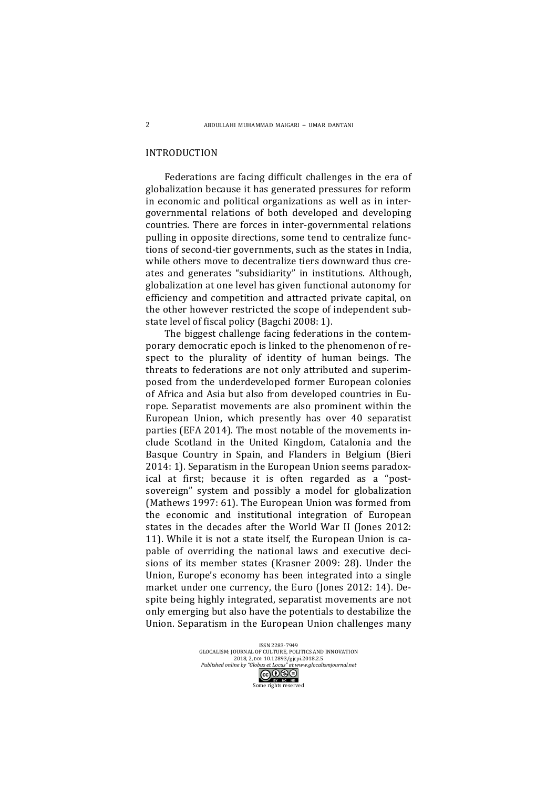## INTRODUCTION

Federations are facing difficult challenges in the era of globalization because it has generated pressures for reform in economic and political organizations as well as in intergovernmental relations of both developed and developing countries. There are forces in inter-governmental relations pulling in opposite directions, some tend to centralize functions of second-tier governments, such as the states in India, while others move to decentralize tiers downward thus creates and generates "subsidiarity" in institutions. Although, globalization at one level has given functional autonomy for efficiency and competition and attracted private capital, on the other however restricted the scope of independent substate level of fiscal policy (Bagchi 2008: 1).

The biggest challenge facing federations in the contemporary democratic epoch is linked to the phenomenon of respect to the plurality of identity of human beings. The threats to federations are not only attributed and superimposed from the underdeveloped former European colonies of Africa and Asia but also from developed countries in Europe. Separatist movements are also prominent within the European Union, which presently has over 40 separatist parties (EFA 2014). The most notable of the movements include Scotland in the United Kingdom, Catalonia and the Basque Country in Spain, and Flanders in Belgium (Bieri 2014: 1). Separatism in the European Union seems paradoxical at first; because it is often regarded as a "postsovereign" system and possibly a model for globalization (Mathews 1997: 61). The European Union was formed from the economic and institutional integration of European states in the decades after the World War II (Jones 2012: 11). While it is not a state itself, the European Union is capable of overriding the national laws and executive decisions of its member states (Krasner 2009: 28). Under the Union, Europe's economy has been integrated into a single market under one currency, the Euro (Jones 2012: 14). Despite being highly integrated, separatist movements are not only emerging but also have the potentials to destabilize the Union. Separatism in the European Union challenges many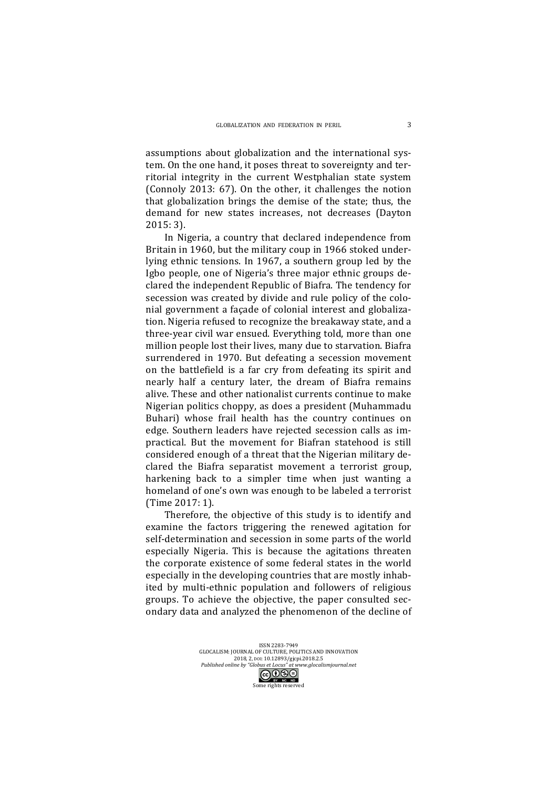assumptions about globalization and the international system. On the one hand, it poses threat to sovereignty and territorial integrity in the current Westphalian state system (Connoly 2013: 67). On the other, it challenges the notion that globalization brings the demise of the state; thus, the demand for new states increases, not decreases (Dayton 2015: 3). 

In Nigeria, a country that declared independence from Britain in 1960, but the military coup in 1966 stoked underlying ethnic tensions. In 1967, a southern group led by the Igbo people, one of Nigeria's three major ethnic groups declared the independent Republic of Biafra. The tendency for secession was created by divide and rule policy of the colonial government a façade of colonial interest and globalization. Nigeria refused to recognize the breakaway state, and a three-year civil war ensued. Everything told, more than one million people lost their lives, many due to starvation. Biafra surrendered in 1970. But defeating a secession movement on the battlefield is a far cry from defeating its spirit and nearly half a century later, the dream of Biafra remains alive. These and other nationalist currents continue to make Nigerian politics choppy, as does a president (Muhammadu Buhari) whose frail health has the country continues on edge. Southern leaders have rejected secession calls as impractical. But the movement for Biafran statehood is still considered enough of a threat that the Nigerian military declared the Biafra separatist movement a terrorist group, harkening back to a simpler time when just wanting a homeland of one's own was enough to be labeled a terrorist (Time 2017: 1).

Therefore, the objective of this study is to identify and examine the factors triggering the renewed agitation for self-determination and secession in some parts of the world especially Nigeria. This is because the agitations threaten the corporate existence of some federal states in the world especially in the developing countries that are mostly inhabited by multi-ethnic population and followers of religious groups. To achieve the objective, the paper consulted secondary data and analyzed the phenomenon of the decline of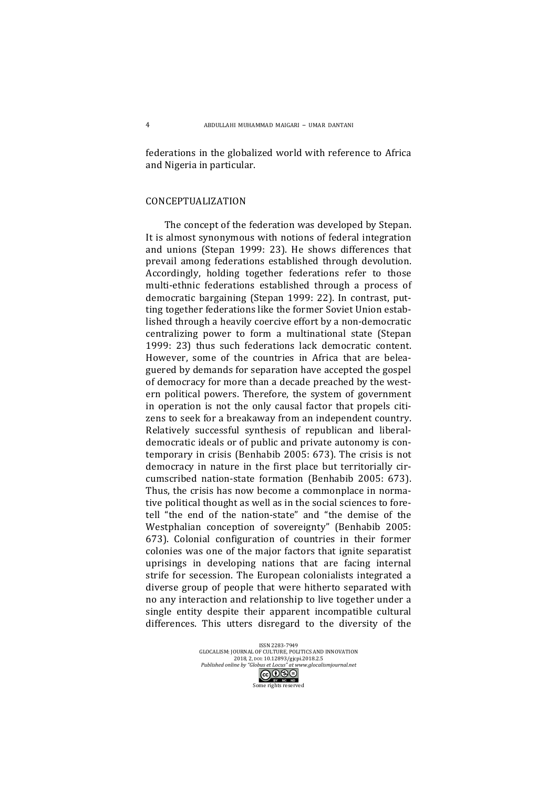federations in the globalized world with reference to Africa and Nigeria in particular.

## CONCEPTUALIZATION

The concept of the federation was developed by Stepan. It is almost synonymous with notions of federal integration and unions (Stepan 1999: 23). He shows differences that prevail among federations established through devolution. Accordingly, holding together federations refer to those multi-ethnic federations established through a process of democratic bargaining (Stepan 1999: 22). In contrast, putting together federations like the former Soviet Union established through a heavily coercive effort by a non-democratic centralizing power to form a multinational state (Stepan 1999: 23) thus such federations lack democratic content. However, some of the countries in Africa that are beleaguered by demands for separation have accepted the gospel of democracy for more than a decade preached by the western political powers. Therefore, the system of government in operation is not the only causal factor that propels citizens to seek for a breakaway from an independent country. Relatively successful synthesis of republican and liberaldemocratic ideals or of public and private autonomy is contemporary in crisis (Benhabib 2005: 673). The crisis is not democracy in nature in the first place but territorially circumscribed nation-state formation (Benhabib 2005: 673). Thus, the crisis has now become a commonplace in normative political thought as well as in the social sciences to foretell "the end of the nation-state" and "the demise of the Westphalian conception of sovereignty" (Benhabib 2005: 673). Colonial configuration of countries in their former colonies was one of the major factors that ignite separatist uprisings in developing nations that are facing internal strife for secession. The European colonialists integrated a diverse group of people that were hitherto separated with no any interaction and relationship to live together under a single entity despite their apparent incompatible cultural differences. This utters disregard to the diversity of the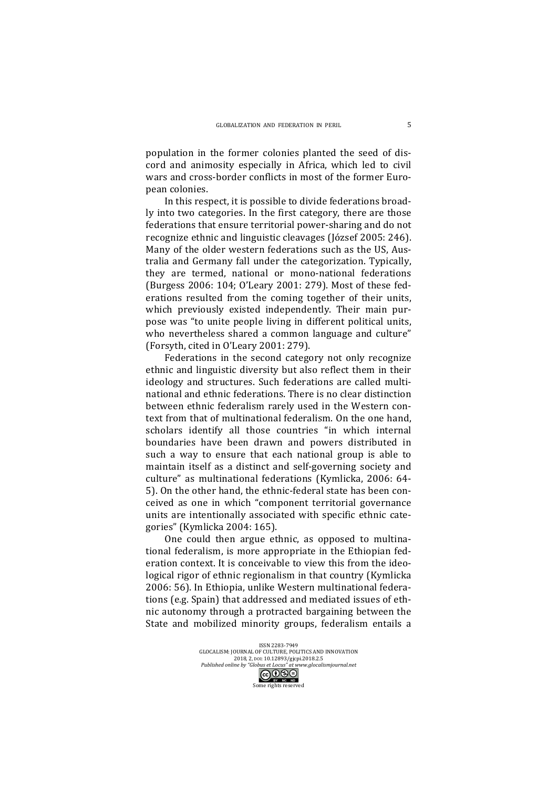population in the former colonies planted the seed of discord and animosity especially in Africa, which led to civil wars and cross-border conflicts in most of the former European colonies.

In this respect, it is possible to divide federations broadly into two categories. In the first category, there are those federations that ensure territorial power-sharing and do not recognize ethnic and linguistic cleavages (József 2005: 246). Many of the older western federations such as the US, Australia and Germany fall under the categorization. Typically, they are termed, national or mono-national federations (Burgess 2006: 104; O'Leary 2001: 279). Most of these federations resulted from the coming together of their units, which previously existed independently. Their main purpose was "to unite people living in different political units, who nevertheless shared a common language and culture" (Forsyth, cited in  $O'$ Leary 2001: 279).

Federations in the second category not only recognize ethnic and linguistic diversity but also reflect them in their ideology and structures. Such federations are called multinational and ethnic federations. There is no clear distinction between ethnic federalism rarely used in the Western context from that of multinational federalism. On the one hand, scholars identify all those countries "in which internal boundaries have been drawn and powers distributed in such a way to ensure that each national group is able to maintain itself as a distinct and self-governing society and culture" as multinational federations (Kymlicka, 2006: 64-5). On the other hand, the ethnic-federal state has been conceived as one in which "component territorial governance units are intentionally associated with specific ethnic categories" (Kymlicka 2004: 165).

One could then argue ethnic, as opposed to multinational federalism, is more appropriate in the Ethiopian federation context. It is conceivable to view this from the ideological rigor of ethnic regionalism in that country (Kymlicka 2006: 56). In Ethiopia, unlike Western multinational federations (e.g. Spain) that addressed and mediated issues of ethnic autonomy through a protracted bargaining between the State and mobilized minority groups, federalism entails a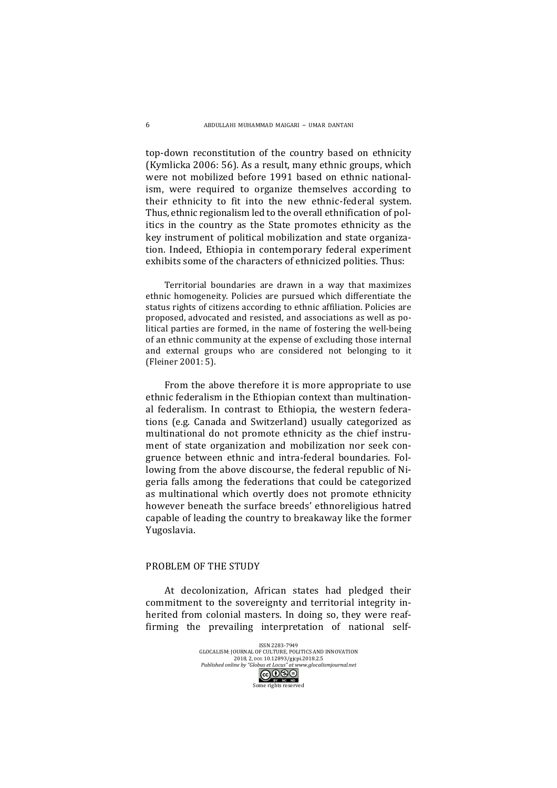top-down reconstitution of the country based on ethnicity (Kymlicka 2006: 56). As a result, many ethnic groups, which were not mobilized before 1991 based on ethnic nationalism, were required to organize themselves according to their ethnicity to fit into the new ethnic-federal system. Thus, ethnic regionalism led to the overall ethnification of politics in the country as the State promotes ethnicity as the key instrument of political mobilization and state organization. Indeed, Ethiopia in contemporary federal experiment exhibits some of the characters of ethnicized polities. Thus:

Territorial boundaries are drawn in a way that maximizes ethnic homogeneity. Policies are pursued which differentiate the status rights of citizens according to ethnic affiliation. Policies are proposed, advocated and resisted, and associations as well as political parties are formed, in the name of fostering the well-being of an ethnic community at the expense of excluding those internal and external groups who are considered not belonging to it (Fleiner 2001: 5).

From the above therefore it is more appropriate to use ethnic federalism in the Ethiopian context than multinational federalism. In contrast to Ethiopia, the western federations (e.g. Canada and Switzerland) usually categorized as multinational do not promote ethnicity as the chief instrument of state organization and mobilization nor seek congruence between ethnic and intra-federal boundaries. Following from the above discourse, the federal republic of Nigeria falls among the federations that could be categorized as multinational which overtly does not promote ethnicity however beneath the surface breeds' ethnoreligious hatred capable of leading the country to breakaway like the former Yugoslavia.

#### PROBLEM OF THE STUDY

At decolonization, African states had pledged their commitment to the sovereignty and territorial integrity inherited from colonial masters. In doing so, they were reaffirming the prevailing interpretation of national self-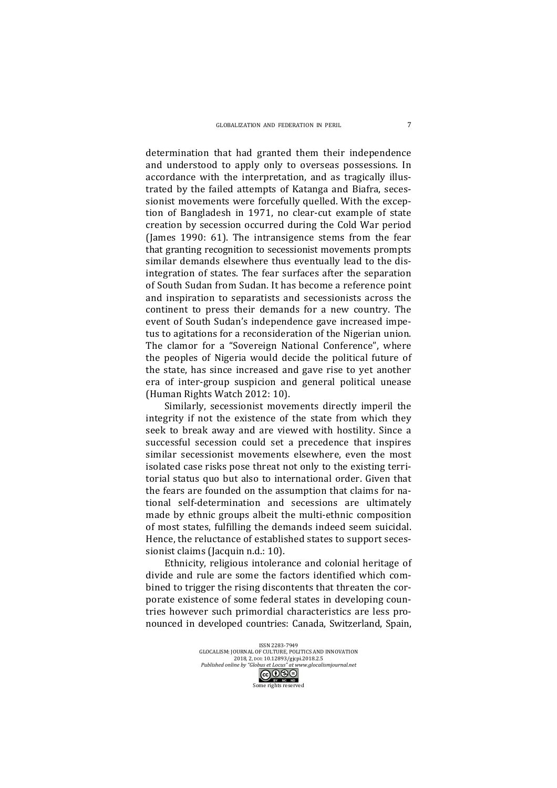determination that had granted them their independence and understood to apply only to overseas possessions. In accordance with the interpretation, and as tragically illustrated by the failed attempts of Katanga and Biafra, secessionist movements were forcefully quelled. With the exception of Bangladesh in 1971, no clear-cut example of state creation by secession occurred during the Cold War period (James 1990:  $61$ ). The intransigence stems from the fear that granting recognition to secessionist movements prompts similar demands elsewhere thus eventually lead to the disintegration of states. The fear surfaces after the separation of South Sudan from Sudan. It has become a reference point and inspiration to separatists and secessionists across the continent to press their demands for a new country. The event of South Sudan's independence gave increased impetus to agitations for a reconsideration of the Nigerian union. The clamor for a "Sovereign National Conference", where the peoples of Nigeria would decide the political future of the state, has since increased and gave rise to yet another era of inter-group suspicion and general political unease (Human Rights Watch 2012: 10).

Similarly, secessionist movements directly imperil the integrity if not the existence of the state from which they seek to break away and are viewed with hostility. Since a successful secession could set a precedence that inspires similar secessionist movements elsewhere, even the most isolated case risks pose threat not only to the existing territorial status quo but also to international order. Given that the fears are founded on the assumption that claims for national self-determination and secessions are ultimately made by ethnic groups albeit the multi-ethnic composition of most states, fulfilling the demands indeed seem suicidal. Hence, the reluctance of established states to support secessionist claims (Jacquin n.d.: 10).

Ethnicity, religious intolerance and colonial heritage of divide and rule are some the factors identified which combined to trigger the rising discontents that threaten the corporate existence of some federal states in developing countries however such primordial characteristics are less pronounced in developed countries: Canada, Switzerland, Spain,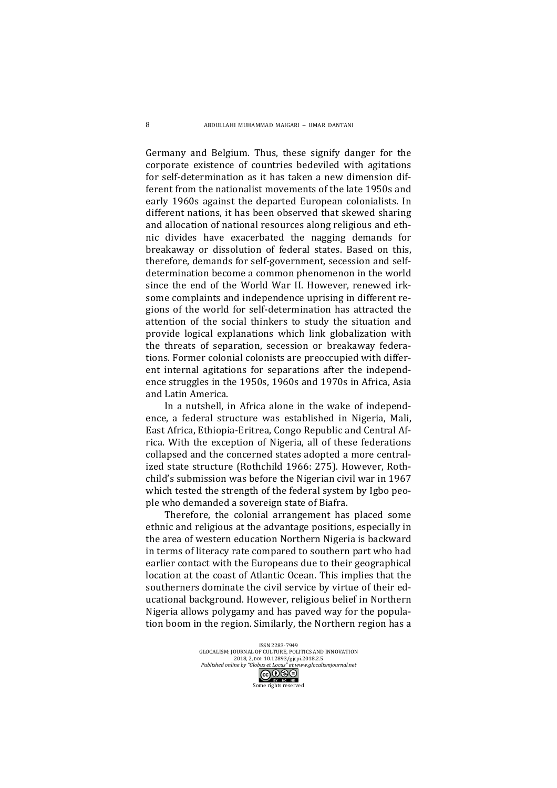Germany and Belgium. Thus, these signify danger for the corporate existence of countries bedeviled with agitations for self-determination as it has taken a new dimension different from the nationalist movements of the late 1950s and early 1960s against the departed European colonialists. In different nations, it has been observed that skewed sharing and allocation of national resources along religious and ethnic divides have exacerbated the nagging demands for breakaway or dissolution of federal states. Based on this, therefore, demands for self-government, secession and selfdetermination become a common phenomenon in the world since the end of the World War II. However, renewed irksome complaints and independence uprising in different regions of the world for self-determination has attracted the attention of the social thinkers to study the situation and provide logical explanations which link globalization with the threats of separation, secession or breakaway federations. Former colonial colonists are preoccupied with different internal agitations for separations after the independence struggles in the 1950s, 1960s and 1970s in Africa, Asia and Latin America.

In a nutshell, in Africa alone in the wake of independence, a federal structure was established in Nigeria, Mali, East Africa, Ethiopia-Eritrea, Congo Republic and Central Africa. With the exception of Nigeria, all of these federations collapsed and the concerned states adopted a more centralized state structure (Rothchild 1966: 275). However, Rothchild's submission was before the Nigerian civil war in 1967 which tested the strength of the federal system by Igbo people who demanded a sovereign state of Biafra.

Therefore, the colonial arrangement has placed some ethnic and religious at the advantage positions, especially in the area of western education Northern Nigeria is backward in terms of literacy rate compared to southern part who had earlier contact with the Europeans due to their geographical location at the coast of Atlantic Ocean. This implies that the southerners dominate the civil service by virtue of their educational background. However, religious belief in Northern Nigeria allows polygamy and has payed way for the population boom in the region. Similarly, the Northern region has a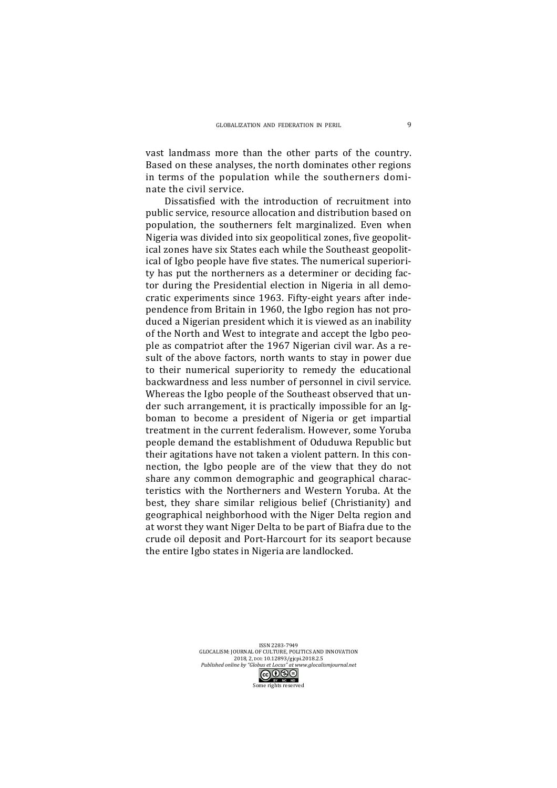vast landmass more than the other parts of the country. Based on these analyses, the north dominates other regions in terms of the population while the southerners dominate the civil service.

Dissatisfied with the introduction of recruitment into public service, resource allocation and distribution based on population, the southerners felt marginalized. Even when Nigeria was divided into six geopolitical zones, five geopolitical zones have six States each while the Southeast geopolitical of Igbo people have five states. The numerical superiority has put the northerners as a determiner or deciding factor during the Presidential election in Nigeria in all democratic experiments since 1963. Fifty-eight years after independence from Britain in 1960, the Igbo region has not produced a Nigerian president which it is viewed as an inability of the North and West to integrate and accept the Igbo people as compatriot after the 1967 Nigerian civil war. As a result of the above factors, north wants to stay in power due to their numerical superiority to remedy the educational backwardness and less number of personnel in civil service. Whereas the Igbo people of the Southeast observed that under such arrangement, it is practically impossible for an Igboman to become a president of Nigeria or get impartial treatment in the current federalism. However, some Yoruba people demand the establishment of Oduduwa Republic but their agitations have not taken a violent pattern. In this connection, the Igbo people are of the view that they do not share any common demographic and geographical characteristics with the Northerners and Western Yoruba. At the best, they share similar religious belief (Christianity) and geographical neighborhood with the Niger Delta region and at worst they want Niger Delta to be part of Biafra due to the crude oil deposit and Port-Harcourt for its seaport because the entire Igbo states in Nigeria are landlocked.

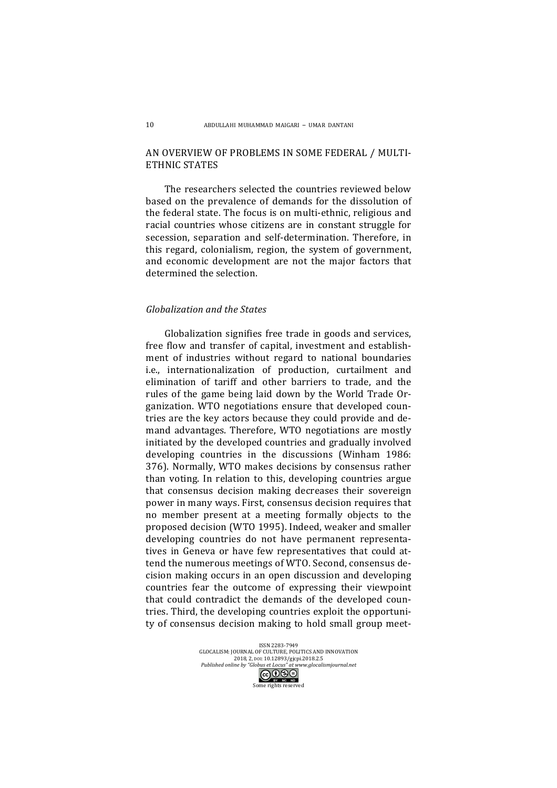## AN OVERVIEW OF PROBLEMS IN SOME FEDERAL / MULTI-ETHNIC STATES

The researchers selected the countries reviewed below based on the prevalence of demands for the dissolution of the federal state. The focus is on multi-ethnic, religious and racial countries whose citizens are in constant struggle for secession, separation and self-determination. Therefore, in this regard, colonialism, region, the system of government, and economic development are not the major factors that determined the selection.

### *Globalization and the States*

Globalization signifies free trade in goods and services, free flow and transfer of capital, investment and establishment of industries without regard to national boundaries i.e., internationalization of production, curtailment and elimination of tariff and other barriers to trade, and the rules of the game being laid down by the World Trade Organization. WTO negotiations ensure that developed countries are the key actors because they could provide and demand advantages. Therefore, WTO negotiations are mostly initiated by the developed countries and gradually involved developing countries in the discussions (Winham 1986: 376). Normally, WTO makes decisions by consensus rather than voting. In relation to this, developing countries argue that consensus decision making decreases their sovereign power in many ways. First, consensus decision requires that no member present at a meeting formally objects to the proposed decision (WTO 1995). Indeed, weaker and smaller developing countries do not have permanent representatives in Geneva or have few representatives that could attend the numerous meetings of WTO. Second, consensus decision making occurs in an open discussion and developing countries fear the outcome of expressing their viewpoint that could contradict the demands of the developed countries. Third, the developing countries exploit the opportunity of consensus decision making to hold small group meet-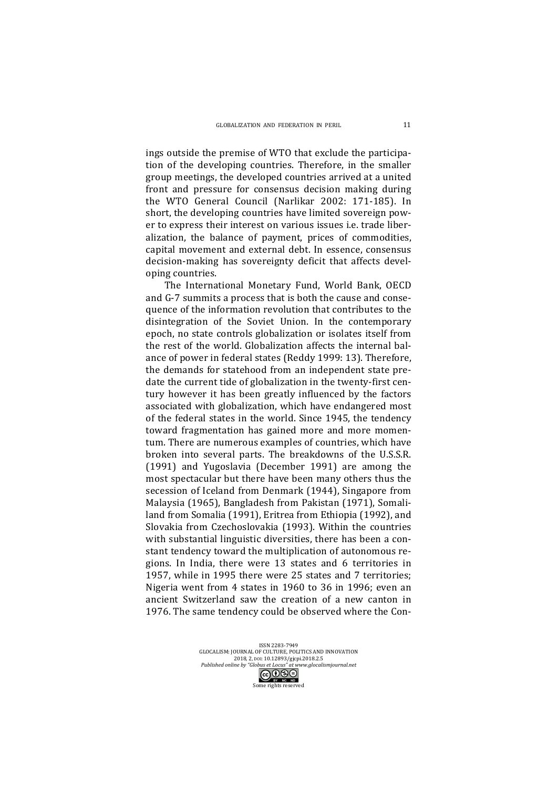ings outside the premise of WTO that exclude the participation of the developing countries. Therefore, in the smaller group meetings, the developed countries arrived at a united front and pressure for consensus decision making during the WTO General Council (Narlikar 2002: 171-185). In short, the developing countries have limited sovereign power to express their interest on various issues *i.e.* trade liberalization, the balance of payment, prices of commodities, capital movement and external debt. In essence, consensus decision-making has sovereignty deficit that affects developing countries.

The International Monetary Fund, World Bank, OECD and G-7 summits a process that is both the cause and consequence of the information revolution that contributes to the disintegration of the Soviet Union. In the contemporary epoch, no state controls globalization or isolates itself from the rest of the world. Globalization affects the internal balance of power in federal states (Reddy 1999: 13). Therefore, the demands for statehood from an independent state predate the current tide of globalization in the twenty-first century however it has been greatly influenced by the factors associated with globalization, which have endangered most of the federal states in the world. Since 1945, the tendency toward fragmentation has gained more and more momentum. There are numerous examples of countries, which have broken into several parts. The breakdowns of the U.S.S.R. (1991) and Yugoslavia (December 1991) are among the most spectacular but there have been many others thus the secession of Iceland from Denmark (1944), Singapore from Malaysia (1965), Bangladesh from Pakistan (1971), Somaliland from Somalia (1991), Eritrea from Ethiopia (1992), and Slovakia from Czechoslovakia (1993). Within the countries with substantial linguistic diversities, there has been a constant tendency toward the multiplication of autonomous regions. In India, there were 13 states and 6 territories in 1957, while in 1995 there were 25 states and 7 territories; Nigeria went from 4 states in 1960 to 36 in 1996; even an ancient Switzerland saw the creation of a new canton in 1976. The same tendency could be observed where the Con-

> ISSN 2283-7949 GLOCALISM: JOURNAL OF CULTURE, POLITICS AND INNOVATION 2018, 2, pol: 10.12893/gjcpi.2018.2.5 *Published online by "Globus et Locus" at www.glocalismjournal.net*<br>  $\begin{array}{|c|c|}\n\hline\n\text{G}\bigodot\text{S}\ominus\n\end{array}$

> > ome rights reserved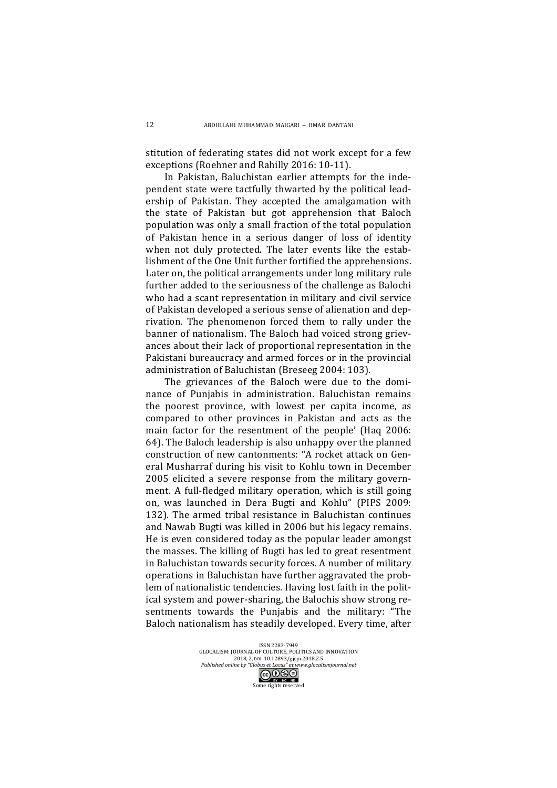stitution of federating states did not work except for a few exceptions (Roehner and Rahilly 2016: 10-11).

In Pakistan, Baluchistan earlier attempts for the independent state were tactfully thwarted by the political leadership of Pakistan. They accepted the amalgamation with the state of Pakistan but got apprehension that Baloch population was only a small fraction of the total population of Pakistan hence in a serious danger of loss of identity when not duly protected. The later events like the establishment of the One Unit further fortified the apprehensions. Later on, the political arrangements under long military rule further added to the seriousness of the challenge as Balochi who had a scant representation in military and civil service of Pakistan developed a serious sense of alienation and deprivation. The phenomenon forced them to rally under the banner of nationalism. The Baloch had voiced strong grievances about their lack of proportional representation in the Pakistani bureaucracy and armed forces or in the provincial administration of Baluchistan (Breseeg 2004: 103).

The grievances of the Baloch were due to the dominance of Punjabis in administration. Baluchistan remains the poorest province, with lowest per capita income, as compared to other provinces in Pakistan and acts as the main factor for the resentment of the people' (Haq 2006: 64). The Baloch leadership is also unhappy over the planned construction of new cantonments: "A rocket attack on General Musharraf during his visit to Kohlu town in December 2005 elicited a severe response from the military government. A full-fledged military operation, which is still going on, was launched in Dera Bugti and Kohlu" (PIPS 2009: 132). The armed tribal resistance in Baluchistan continues and Nawab Bugti was killed in 2006 but his legacy remains. He is even considered today as the popular leader amongst the masses. The killing of Bugti has led to great resentment in Baluchistan towards security forces. A number of military operations in Baluchistan have further aggravated the problem of nationalistic tendencies. Having lost faith in the political system and power-sharing, the Balochis show strong resentments towards the Punjabis and the military: "The Baloch nationalism has steadily developed. Every time, after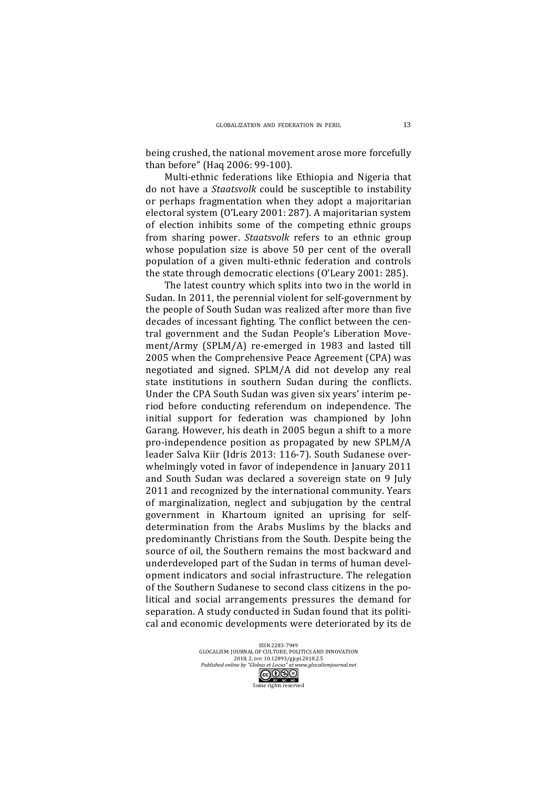being crushed, the national movement arose more forcefully than before" (Haq 2006: 99-100). 

Multi-ethnic federations like Ethiopia and Nigeria that do not have a *Staatsvolk* could be susceptible to instability or perhaps fragmentation when they adopt a majoritarian electoral system (O'Leary 2001: 287). A majoritarian system of election inhibits some of the competing ethnic groups from sharing power. *Staatsvolk* refers to an ethnic group whose population size is above 50 per cent of the overall population of a given multi-ethnic federation and controls the state through democratic elections (O'Leary 2001: 285).

The latest country which splits into two in the world in Sudan. In 2011, the perennial violent for self-government by the people of South Sudan was realized after more than five decades of incessant fighting. The conflict between the central government and the Sudan People's Liberation Movement/Army (SPLM/A) re-emerged in 1983 and lasted till 2005 when the Comprehensive Peace Agreement (CPA) was negotiated and signed. SPLM/A did not develop any real state institutions in southern Sudan during the conflicts. Under the CPA South Sudan was given six years' interim period before conducting referendum on independence. The initial support for federation was championed by John Garang. However, his death in 2005 begun a shift to a more pro-independence position as propagated by new SPLM/A leader Salva Kiir (Idris 2013: 116-7). South Sudanese overwhelmingly voted in favor of independence in January 2011 and South Sudan was declared a sovereign state on 9 July 2011 and recognized by the international community. Years of marginalization, neglect and subjugation by the central government in Khartoum ignited an uprising for selfdetermination from the Arabs Muslims by the blacks and predominantly Christians from the South. Despite being the source of oil, the Southern remains the most backward and underdeveloped part of the Sudan in terms of human development indicators and social infrastructure. The relegation of the Southern Sudanese to second class citizens in the political and social arrangements pressures the demand for separation. A study conducted in Sudan found that its political and economic developments were deteriorated by its de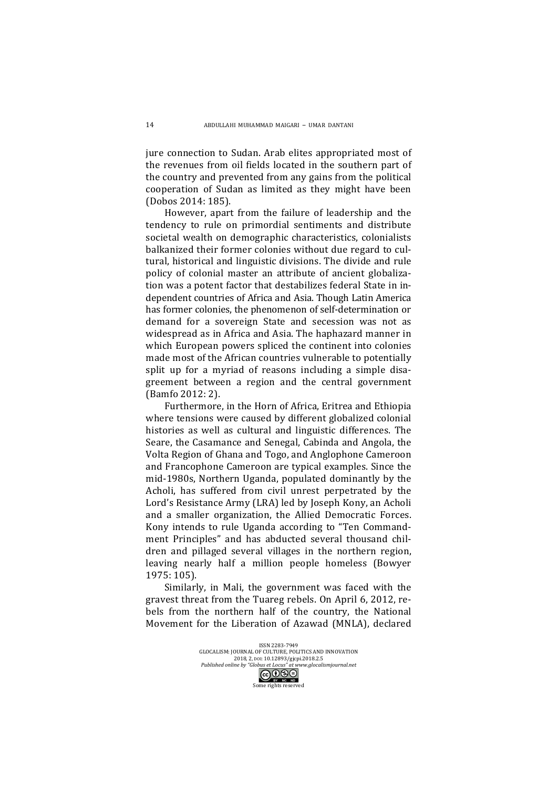jure connection to Sudan. Arab elites appropriated most of the revenues from oil fields located in the southern part of the country and prevented from any gains from the political cooperation of Sudan as limited as they might have been (Dobos 2014: 185).

However, apart from the failure of leadership and the tendency to rule on primordial sentiments and distribute societal wealth on demographic characteristics, colonialists balkanized their former colonies without due regard to cultural, historical and linguistic divisions. The divide and rule policy of colonial master an attribute of ancient globalization was a potent factor that destabilizes federal State in independent countries of Africa and Asia. Though Latin America has former colonies, the phenomenon of self-determination or demand for a sovereign State and secession was not as widespread as in Africa and Asia. The haphazard manner in which European powers spliced the continent into colonies made most of the African countries vulnerable to potentially split up for a myriad of reasons including a simple disagreement between a region and the central government (Bamfo 2012: 2).

Furthermore, in the Horn of Africa, Eritrea and Ethiopia where tensions were caused by different globalized colonial histories as well as cultural and linguistic differences. The Seare, the Casamance and Senegal, Cabinda and Angola, the Volta Region of Ghana and Togo, and Anglophone Cameroon and Francophone Cameroon are typical examples. Since the mid-1980s, Northern Uganda, populated dominantly by the Acholi, has suffered from civil unrest perpetrated by the Lord's Resistance Army (LRA) led by Joseph Kony, an Acholi and a smaller organization, the Allied Democratic Forces. Kony intends to rule Uganda according to "Ten Commandment Principles" and has abducted several thousand children and pillaged several villages in the northern region, leaving nearly half a million people homeless (Bowyer 1975: 105).

Similarly, in Mali, the government was faced with the gravest threat from the Tuareg rebels. On April 6, 2012, rebels from the northern half of the country, the National Movement for the Liberation of Azawad (MNLA), declared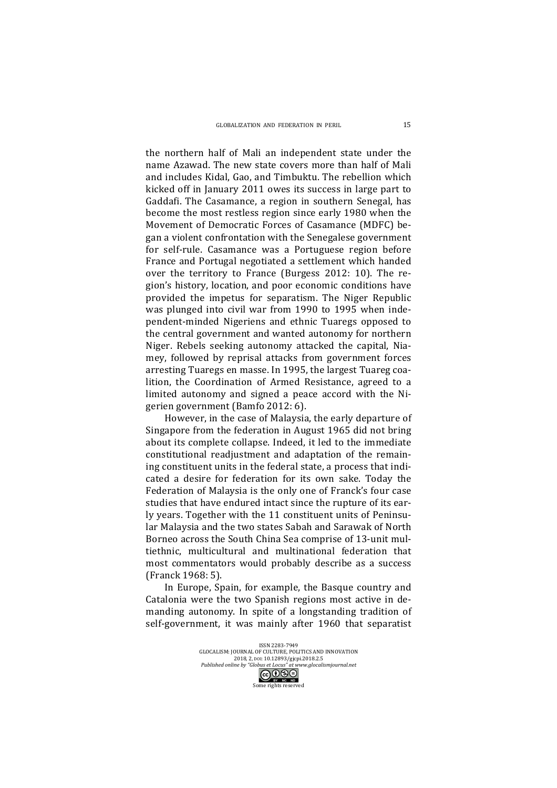the northern half of Mali an independent state under the name Azawad. The new state covers more than half of Mali and includes Kidal, Gao, and Timbuktu. The rebellion which kicked off in January 2011 owes its success in large part to Gaddafi. The Casamance, a region in southern Senegal, has become the most restless region since early 1980 when the Movement of Democratic Forces of Casamance (MDFC) began a violent confrontation with the Senegalese government for self-rule. Casamance was a Portuguese region before France and Portugal negotiated a settlement which handed over the territory to France (Burgess  $2012: 10$ ). The region's history, location, and poor economic conditions have provided the impetus for separatism. The Niger Republic was plunged into civil war from 1990 to 1995 when independent-minded Nigeriens and ethnic Tuaregs opposed to the central government and wanted autonomy for northern Niger. Rebels seeking autonomy attacked the capital, Niamey, followed by reprisal attacks from government forces arresting Tuaregs en masse. In 1995, the largest Tuareg coalition, the Coordination of Armed Resistance, agreed to a limited autonomy and signed a peace accord with the Nigerien government (Bamfo 2012: 6).

However, in the case of Malaysia, the early departure of Singapore from the federation in August 1965 did not bring about its complete collapse. Indeed, it led to the immediate constitutional readjustment and adaptation of the remaining constituent units in the federal state, a process that indicated a desire for federation for its own sake. Today the Federation of Malaysia is the only one of Franck's four case studies that have endured intact since the rupture of its early years. Together with the 11 constituent units of Peninsular Malaysia and the two states Sabah and Sarawak of North Borneo across the South China Sea comprise of 13-unit multiethnic, multicultural and multinational federation that most commentators would probably describe as a success (Franck 1968: 5).

In Europe, Spain, for example, the Basque country and Catalonia were the two Spanish regions most active in demanding autonomy. In spite of a longstanding tradition of self-government, it was mainly after 1960 that separatist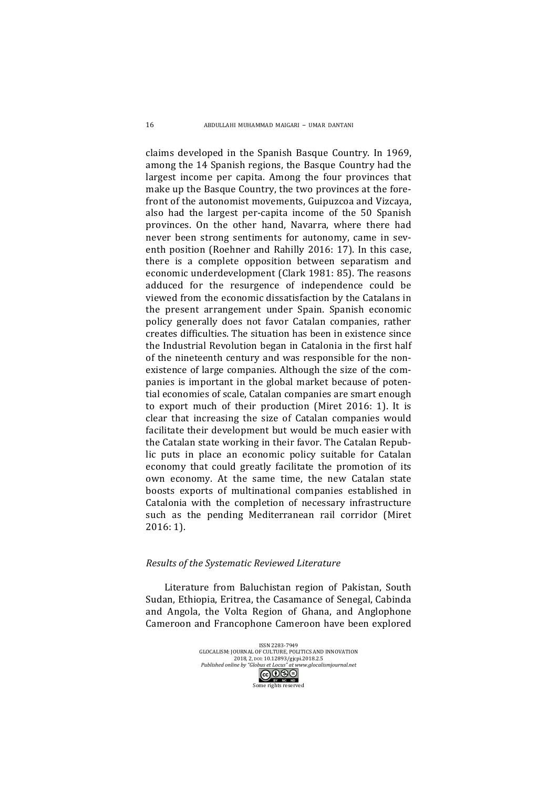claims developed in the Spanish Basque Country. In 1969, among the 14 Spanish regions, the Basque Country had the largest income per capita. Among the four provinces that make up the Basque Country, the two provinces at the forefront of the autonomist movements, Guipuzcoa and Vizcaya, also had the largest per-capita income of the 50 Spanish provinces. On the other hand, Navarra, where there had never been strong sentiments for autonomy, came in seventh position (Roehner and Rahilly 2016: 17). In this case, there is a complete opposition between separatism and economic underdevelopment (Clark 1981: 85). The reasons adduced for the resurgence of independence could be viewed from the economic dissatisfaction by the Catalans in the present arrangement under Spain. Spanish economic policy generally does not favor Catalan companies, rather creates difficulties. The situation has been in existence since the Industrial Revolution began in Catalonia in the first half of the nineteenth century and was responsible for the nonexistence of large companies. Although the size of the companies is important in the global market because of potential economies of scale, Catalan companies are smart enough to export much of their production (Miret 2016: 1). It is clear that increasing the size of Catalan companies would facilitate their development but would be much easier with the Catalan state working in their favor. The Catalan Republic puts in place an economic policy suitable for Catalan economy that could greatly facilitate the promotion of its own economy. At the same time, the new Catalan state boosts exports of multinational companies established in Catalonia with the completion of necessary infrastructure such as the pending Mediterranean rail corridor (Miret 2016: 1).

#### *Results of the Systematic Reviewed Literature*

Literature from Baluchistan region of Pakistan, South Sudan, Ethiopia, Eritrea, the Casamance of Senegal, Cabinda and Angola, the Volta Region of Ghana, and Anglophone Cameroon and Francophone Cameroon have been explored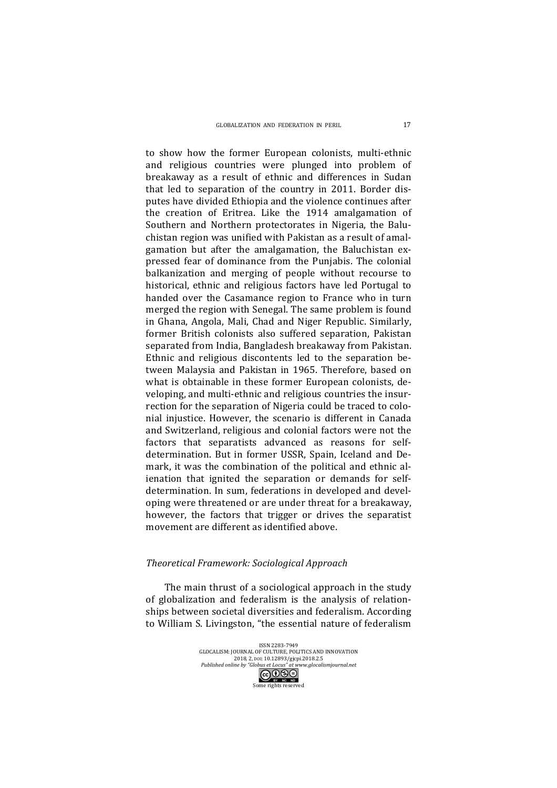to show how the former European colonists, multi-ethnic and religious countries were plunged into problem of breakaway as a result of ethnic and differences in Sudan that led to separation of the country in 2011. Border disputes have divided Ethiopia and the violence continues after the creation of Eritrea. Like the 1914 amalgamation of Southern and Northern protectorates in Nigeria, the Baluchistan region was unified with Pakistan as a result of amalgamation but after the amalgamation, the Baluchistan expressed fear of dominance from the Punjabis. The colonial balkanization and merging of people without recourse to historical, ethnic and religious factors have led Portugal to handed over the Casamance region to France who in turn merged the region with Senegal. The same problem is found in Ghana, Angola, Mali, Chad and Niger Republic. Similarly, former British colonists also suffered separation, Pakistan separated from India, Bangladesh breakaway from Pakistan. Ethnic and religious discontents led to the separation between Malaysia and Pakistan in 1965. Therefore, based on what is obtainable in these former European colonists, developing, and multi-ethnic and religious countries the insurrection for the separation of Nigeria could be traced to colonial injustice. However, the scenario is different in Canada and Switzerland, religious and colonial factors were not the factors that separatists advanced as reasons for selfdetermination. But in former USSR, Spain, Iceland and Demark, it was the combination of the political and ethnic alienation that ignited the separation or demands for selfdetermination. In sum, federations in developed and developing were threatened or are under threat for a breakaway, however, the factors that trigger or drives the separatist movement are different as identified above.

#### *Theoretical Framework: Sociological Approach*

The main thrust of a sociological approach in the study of globalization and federalism is the analysis of relationships between societal diversities and federalism. According to William S. Livingston, "the essential nature of federalism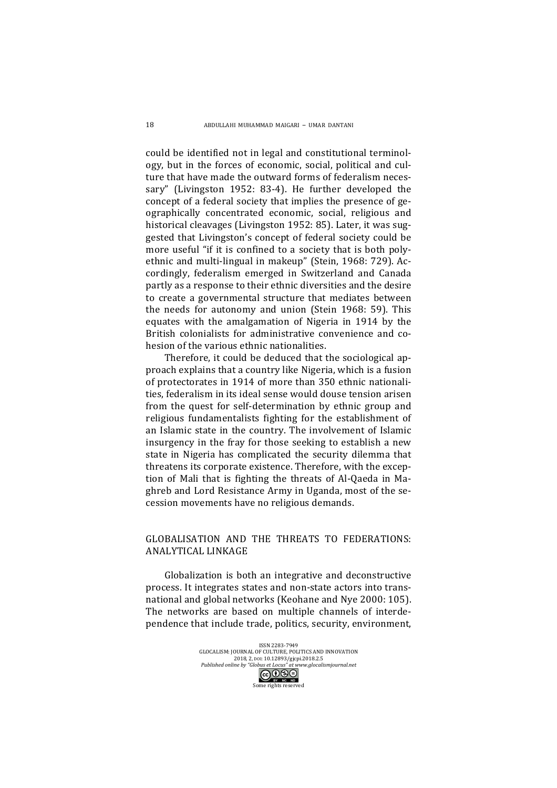could be identified not in legal and constitutional terminology, but in the forces of economic, social, political and culture that have made the outward forms of federalism necessary" (Livingston 1952: 83-4). He further developed the concept of a federal society that implies the presence of geographically concentrated economic, social, religious and historical cleavages (Livingston 1952: 85). Later, it was suggested that Livingston's concept of federal society could be more useful "if it is confined to a society that is both polyethnic and multi-lingual in makeup" (Stein, 1968: 729). Accordingly, federalism emerged in Switzerland and Canada partly as a response to their ethnic diversities and the desire to create a governmental structure that mediates between the needs for autonomy and union (Stein 1968: 59). This equates with the amalgamation of Nigeria in 1914 by the British colonialists for administrative convenience and cohesion of the various ethnic nationalities.

Therefore, it could be deduced that the sociological approach explains that a country like Nigeria, which is a fusion of protectorates in 1914 of more than 350 ethnic nationalities, federalism in its ideal sense would douse tension arisen from the quest for self-determination by ethnic group and religious fundamentalists fighting for the establishment of an Islamic state in the country. The involvement of Islamic insurgency in the fray for those seeking to establish a new state in Nigeria has complicated the security dilemma that threatens its corporate existence. Therefore, with the exception of Mali that is fighting the threats of Al-Qaeda in Maghreb and Lord Resistance Army in Uganda, most of the secession movements have no religious demands.

## GLOBALISATION AND THE THREATS TO FEDERATIONS: ANALYTICAL LINKAGE

Globalization is both an integrative and deconstructive process. It integrates states and non-state actors into transnational and global networks (Keohane and Nye 2000: 105). The networks are based on multiple channels of interdependence that include trade, politics, security, environment,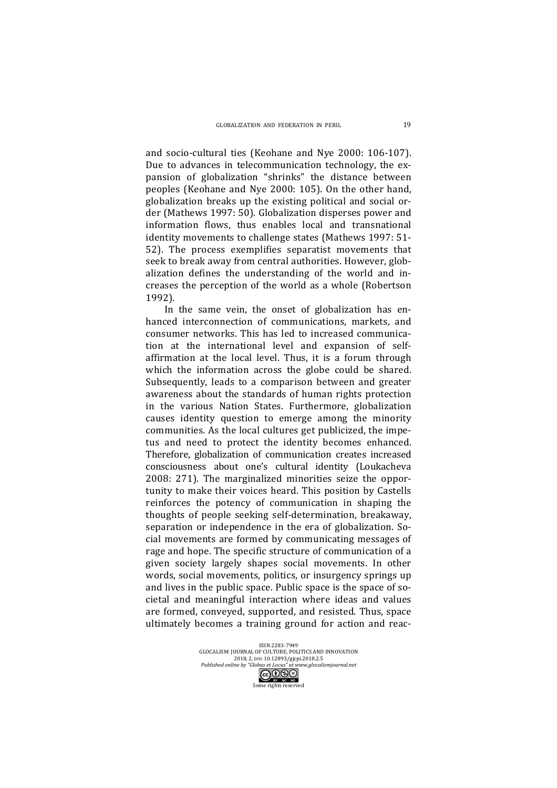and socio-cultural ties (Keohane and Nye 2000: 106-107). Due to advances in telecommunication technology, the expansion of globalization "shrinks" the distance between peoples (Keohane and Nye 2000: 105). On the other hand, globalization breaks up the existing political and social order (Mathews 1997: 50). Globalization disperses power and information flows, thus enables local and transnational identity movements to challenge states (Mathews 1997: 51-52). The process exemplifies separatist movements that seek to break away from central authorities. However, globalization defines the understanding of the world and increases the perception of the world as a whole (Robertson 1992).

In the same vein, the onset of globalization has enhanced interconnection of communications, markets, and consumer networks. This has led to increased communication at the international level and expansion of selfaffirmation at the local level. Thus, it is a forum through which the information across the globe could be shared. Subsequently, leads to a comparison between and greater awareness about the standards of human rights protection in the various Nation States. Furthermore, globalization causes identity question to emerge among the minority communities. As the local cultures get publicized, the impetus and need to protect the identity becomes enhanced. Therefore, globalization of communication creates increased consciousness about one's cultural identity (Loukacheva 2008: 271). The marginalized minorities seize the opportunity to make their voices heard. This position by Castells reinforces the potency of communication in shaping the thoughts of people seeking self-determination, breakaway, separation or independence in the era of globalization. Social movements are formed by communicating messages of rage and hope. The specific structure of communication of a given society largely shapes social movements. In other words, social movements, politics, or insurgency springs up and lives in the public space. Public space is the space of societal and meaningful interaction where ideas and values are formed, conveyed, supported, and resisted. Thus, space ultimately becomes a training ground for action and reac-

> ISSN 2283-7949<br>GLOCALISM: JOURNAL OF CULTURE, POLITICS AND INNOVATION 2018, 2, pol: 10.12893/gjcpi.2018.2.5 *Published online by "Globus et Locus" at www.glocalismjournal.net*<br>  $\begin{array}{|c|c|}\n\hline\n\text{G}\bigodot\text{S}\ominus\n\end{array}$ me rights reserved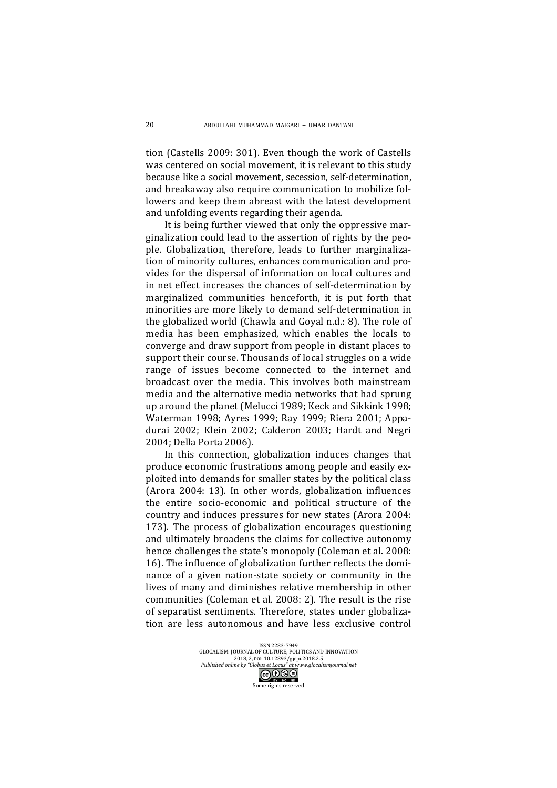tion (Castells 2009: 301). Even though the work of Castells was centered on social movement, it is relevant to this study because like a social movement, secession, self-determination, and breakaway also require communication to mobilize followers and keep them abreast with the latest development and unfolding events regarding their agenda.

It is being further viewed that only the oppressive marginalization could lead to the assertion of rights by the people. Globalization, therefore, leads to further marginalization of minority cultures, enhances communication and provides for the dispersal of information on local cultures and in net effect increases the chances of self-determination by marginalized communities henceforth, it is put forth that minorities are more likely to demand self-determination in the globalized world (Chawla and Goyal n.d.: 8). The role of media has been emphasized, which enables the locals to converge and draw support from people in distant places to support their course. Thousands of local struggles on a wide range of issues become connected to the internet and broadcast over the media. This involves both mainstream media and the alternative media networks that had sprung up around the planet (Melucci 1989; Keck and Sikkink 1998; Waterman 1998; Ayres 1999; Ray 1999; Riera 2001; Appadurai 2002; Klein 2002; Calderon 2003; Hardt and Negri 2004; Della Porta 2006).

In this connection, globalization induces changes that produce economic frustrations among people and easily exploited into demands for smaller states by the political class (Arora 2004: 13). In other words, globalization influences the entire socio-economic and political structure of the country and induces pressures for new states (Arora 2004: 173). The process of globalization encourages questioning and ultimately broadens the claims for collective autonomy hence challenges the state's monopoly (Coleman et al. 2008: 16). The influence of globalization further reflects the dominance of a given nation-state society or community in the lives of many and diminishes relative membership in other communities (Coleman et al. 2008: 2). The result is the rise of separatist sentiments. Therefore, states under globalization are less autonomous and have less exclusive control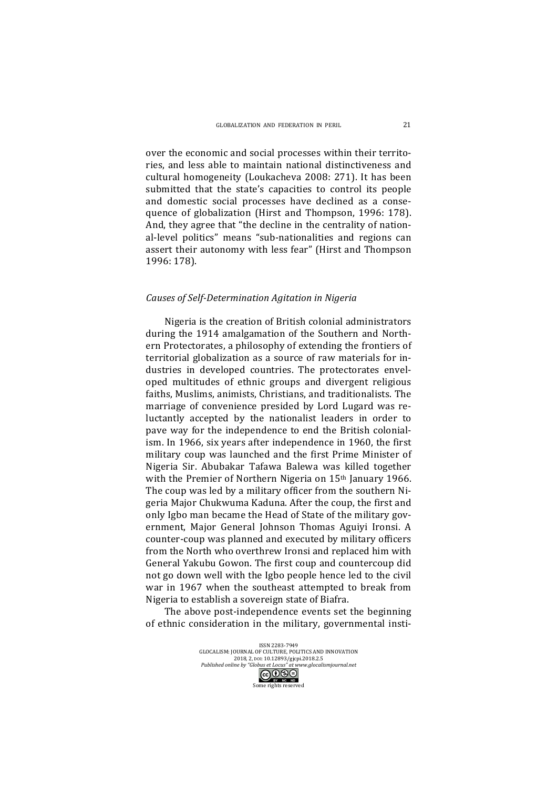over the economic and social processes within their territories, and less able to maintain national distinctiveness and cultural homogeneity (Loukacheva 2008: 271). It has been submitted that the state's capacities to control its people and domestic social processes have declined as a consequence of globalization (Hirst and Thompson, 1996: 178). And, they agree that "the decline in the centrality of national-level politics" means "sub-nationalities and regions can assert their autonomy with less fear" (Hirst and Thompson 1996: 178).

#### *Causes of Self-Determination Agitation in Nigeria*

Nigeria is the creation of British colonial administrators during the 1914 amalgamation of the Southern and Northern Protectorates, a philosophy of extending the frontiers of territorial globalization as a source of raw materials for industries in developed countries. The protectorates enveloped multitudes of ethnic groups and divergent religious faiths, Muslims, animists, Christians, and traditionalists. The marriage of convenience presided by Lord Lugard was reluctantly accepted by the nationalist leaders in order to pave way for the independence to end the British colonialism. In 1966, six years after independence in 1960, the first military coup was launched and the first Prime Minister of Nigeria Sir. Abubakar Tafawa Balewa was killed together with the Premier of Northern Nigeria on  $15<sup>th</sup>$  January 1966. The coup was led by a military officer from the southern Nigeria Major Chukwuma Kaduna. After the coup, the first and only Igbo man became the Head of State of the military government, Major General Johnson Thomas Aguiyi Ironsi. A counter-coup was planned and executed by military officers from the North who overthrew Ironsi and replaced him with General Yakubu Gowon. The first coup and countercoup did not go down well with the Igbo people hence led to the civil war in 1967 when the southeast attempted to break from Nigeria to establish a sovereign state of Biafra.

The above post-independence events set the beginning of ethnic consideration in the military, governmental insti-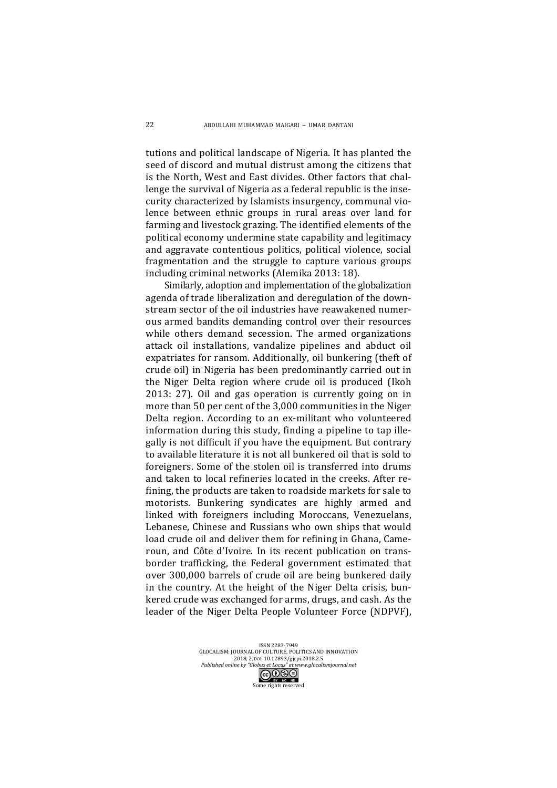tutions and political landscape of Nigeria. It has planted the seed of discord and mutual distrust among the citizens that is the North, West and East divides. Other factors that challenge the survival of Nigeria as a federal republic is the insecurity characterized by Islamists insurgency, communal violence between ethnic groups in rural areas over land for farming and livestock grazing. The identified elements of the political economy undermine state capability and legitimacy and aggravate contentious politics, political violence, social fragmentation and the struggle to capture various groups including criminal networks (Alemika 2013: 18).

Similarly, adoption and implementation of the globalization agenda of trade liberalization and deregulation of the downstream sector of the oil industries have reawakened numerous armed bandits demanding control over their resources while others demand secession. The armed organizations attack oil installations, vandalize pipelines and abduct oil expatriates for ransom. Additionally, oil bunkering (theft of crude oil) in Nigeria has been predominantly carried out in the Niger Delta region where crude oil is produced (Ikoh  $2013: 27$ ). Oil and gas operation is currently going on in more than 50 per cent of the 3,000 communities in the Niger Delta region. According to an ex-militant who volunteered information during this study, finding a pipeline to tap illegally is not difficult if you have the equipment. But contrary to available literature it is not all bunkered oil that is sold to foreigners. Some of the stolen oil is transferred into drums and taken to local refineries located in the creeks. After refining, the products are taken to roadside markets for sale to motorists. Bunkering syndicates are highly armed and linked with foreigners including Moroccans, Venezuelans, Lebanese, Chinese and Russians who own ships that would load crude oil and deliver them for refining in Ghana, Cameroun, and Côte d'Ivoire. In its recent publication on transborder trafficking, the Federal government estimated that over 300,000 barrels of crude oil are being bunkered daily in the country. At the height of the Niger Delta crisis, bunkered crude was exchanged for arms, drugs, and cash. As the leader of the Niger Delta People Volunteer Force (NDPVF).

> ISSN 2283-7949 GLOCALISM: JOURNAL OF CULTURE, POLITICS AND INNOVATION 2018, 2, pol: 10.12893/gjcpi.2018.2.5 *Published online by "Globus et Locus" at www.glocalismjournal.net*<br>  $\boxed{\mathbf{coOS}}$

> > me rights reserved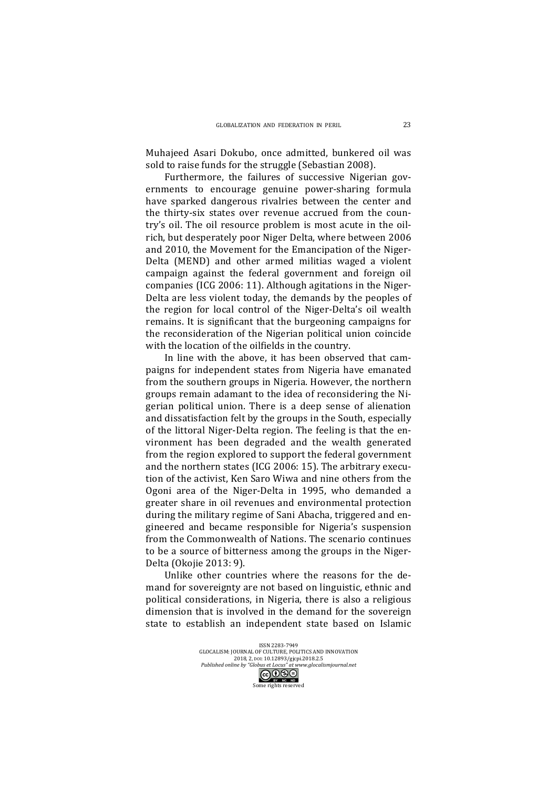Muhajeed Asari Dokubo, once admitted, bunkered oil was sold to raise funds for the struggle (Sebastian 2008).

Furthermore, the failures of successive Nigerian governments to encourage genuine power-sharing formula have sparked dangerous rivalries between the center and the thirty-six states over revenue accrued from the country's oil. The oil resource problem is most acute in the oilrich, but desperately poor Niger Delta, where between 2006 and 2010, the Movement for the Emancipation of the Niger-Delta (MEND) and other armed militias waged a violent campaign against the federal government and foreign oil companies (ICG 2006: 11). Although agitations in the Niger-Delta are less violent today, the demands by the peoples of the region for local control of the Niger-Delta's oil wealth remains. It is significant that the burgeoning campaigns for the reconsideration of the Nigerian political union coincide with the location of the oilfields in the country.

In line with the above, it has been observed that campaigns for independent states from Nigeria have emanated from the southern groups in Nigeria. However, the northern groups remain adamant to the idea of reconsidering the Nigerian political union. There is a deep sense of alienation and dissatisfaction felt by the groups in the South, especially of the littoral Niger-Delta region. The feeling is that the environment has been degraded and the wealth generated from the region explored to support the federal government and the northern states (ICG 2006: 15). The arbitrary execution of the activist, Ken Saro Wiwa and nine others from the Ogoni area of the Niger-Delta in 1995, who demanded a greater share in oil revenues and environmental protection during the military regime of Sani Abacha, triggered and engineered and became responsible for Nigeria's suspension from the Commonwealth of Nations. The scenario continues to be a source of bitterness among the groups in the Niger-Delta (Okojie 2013: 9). 

Unlike other countries where the reasons for the demand for sovereignty are not based on linguistic, ethnic and political considerations, in Nigeria, there is also a religious dimension that is involved in the demand for the sovereign state to establish an independent state based on Islamic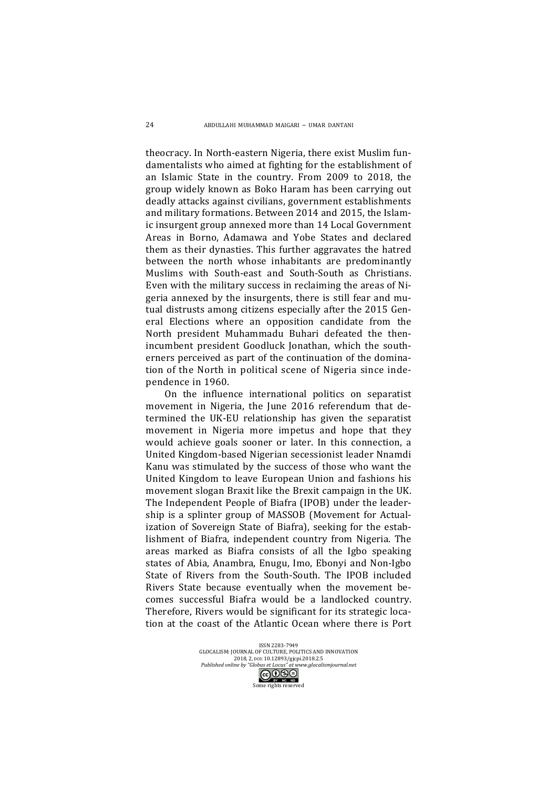theocracy. In North-eastern Nigeria, there exist Muslim fundamentalists who aimed at fighting for the establishment of an Islamic State in the country. From 2009 to 2018, the group widely known as Boko Haram has been carrying out deadly attacks against civilians, government establishments and military formations. Between 2014 and 2015, the Islamic insurgent group annexed more than 14 Local Government Areas in Borno, Adamawa and Yobe States and declared them as their dynasties. This further aggravates the hatred between the north whose inhabitants are predominantly Muslims with South-east and South-South as Christians. Even with the military success in reclaiming the areas of Nigeria annexed by the insurgents, there is still fear and mutual distrusts among citizens especially after the 2015 General Elections where an opposition candidate from the North president Muhammadu Buhari defeated the thenincumbent president Goodluck Jonathan, which the southerners perceived as part of the continuation of the domination of the North in political scene of Nigeria since independence in 1960.

On the influence international politics on separatist movement in Nigeria, the June 2016 referendum that determined the UK-EU relationship has given the separatist movement in Nigeria more impetus and hope that they would achieve goals sooner or later. In this connection, a United Kingdom-based Nigerian secessionist leader Nnamdi Kanu was stimulated by the success of those who want the United Kingdom to leave European Union and fashions his movement slogan Braxit like the Brexit campaign in the UK. The Independent People of Biafra (IPOB) under the leadership is a splinter group of MASSOB (Movement for Actualization of Sovereign State of Biafra), seeking for the establishment of Biafra, independent country from Nigeria. The areas marked as Biafra consists of all the Igbo speaking states of Abia, Anambra, Enugu, Imo, Ebonyi and Non-Igbo State of Rivers from the South-South. The IPOB included Rivers State because eventually when the movement becomes successful Biafra would be a landlocked country. Therefore, Rivers would be significant for its strategic location at the coast of the Atlantic Ocean where there is Port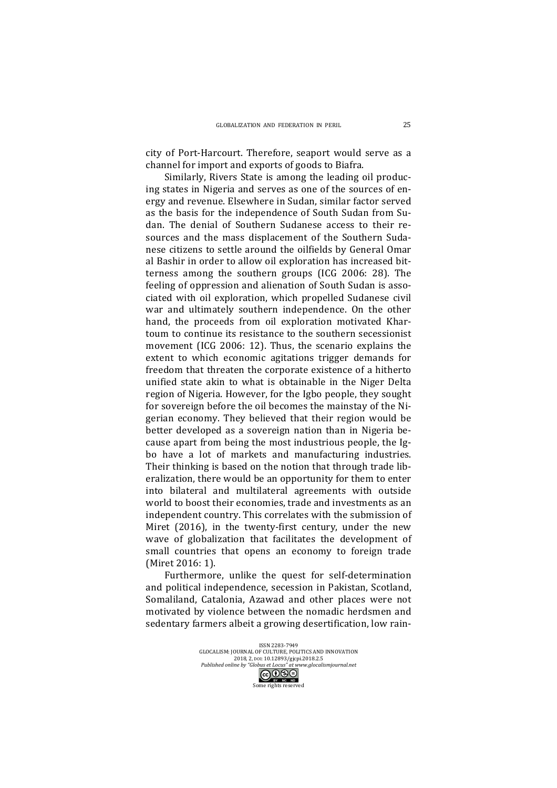city of Port-Harcourt. Therefore, seaport would serve as a channel for import and exports of goods to Biafra.

Similarly, Rivers State is among the leading oil producing states in Nigeria and serves as one of the sources of energy and revenue. Elsewhere in Sudan, similar factor served as the basis for the independence of South Sudan from Sudan. The denial of Southern Sudanese access to their resources and the mass displacement of the Southern Sudanese citizens to settle around the oilfields by General Omar al Bashir in order to allow oil exploration has increased bitterness among the southern groups (ICG 2006: 28). The feeling of oppression and alienation of South Sudan is associated with oil exploration, which propelled Sudanese civil war and ultimately southern independence. On the other hand, the proceeds from oil exploration motivated Khartoum to continue its resistance to the southern secessionist movement (ICG 2006: 12). Thus, the scenario explains the extent to which economic agitations trigger demands for freedom that threaten the corporate existence of a hitherto unified state akin to what is obtainable in the Niger Delta region of Nigeria. However, for the Igbo people, they sought for sovereign before the oil becomes the mainstay of the Nigerian economy. They believed that their region would be better developed as a sovereign nation than in Nigeria because apart from being the most industrious people, the Igbo have a lot of markets and manufacturing industries. Their thinking is based on the notion that through trade liberalization, there would be an opportunity for them to enter into bilateral and multilateral agreements with outside world to boost their economies, trade and investments as an independent country. This correlates with the submission of Miret  $(2016)$ , in the twenty-first century, under the new wave of globalization that facilitates the development of small countries that opens an economy to foreign trade (Miret 2016: 1).

Furthermore, unlike the quest for self-determination and political independence, secession in Pakistan, Scotland, Somaliland, Catalonia, Azawad and other places were not motivated by violence between the nomadic herdsmen and sedentary farmers albeit a growing desertification, low rain-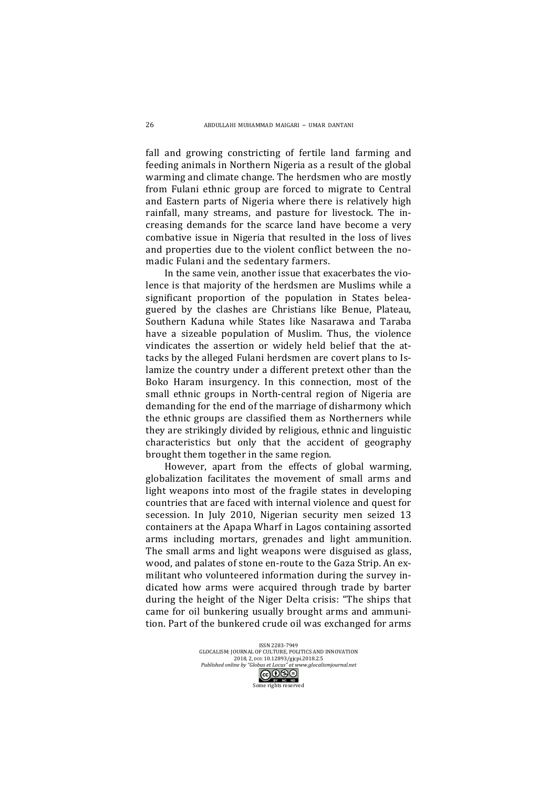fall and growing constricting of fertile land farming and feeding animals in Northern Nigeria as a result of the global warming and climate change. The herdsmen who are mostly from Fulani ethnic group are forced to migrate to Central and Eastern parts of Nigeria where there is relatively high rainfall, many streams, and pasture for livestock. The increasing demands for the scarce land have become a very combative issue in Nigeria that resulted in the loss of lives and properties due to the violent conflict between the nomadic Fulani and the sedentary farmers.

In the same vein, another issue that exacerbates the violence is that majority of the herdsmen are Muslims while a significant proportion of the population in States beleaguered by the clashes are Christians like Benue, Plateau, Southern Kaduna while States like Nasarawa and Taraba have a sizeable population of Muslim. Thus, the violence vindicates the assertion or widely held belief that the attacks by the alleged Fulani herdsmen are covert plans to Islamize the country under a different pretext other than the Boko Haram insurgency. In this connection, most of the small ethnic groups in North-central region of Nigeria are demanding for the end of the marriage of disharmony which the ethnic groups are classified them as Northerners while they are strikingly divided by religious, ethnic and linguistic characteristics but only that the accident of geography brought them together in the same region.

However, apart from the effects of global warming, globalization facilitates the movement of small arms and light weapons into most of the fragile states in developing countries that are faced with internal violence and quest for secession. In July 2010, Nigerian security men seized 13 containers at the Apapa Wharf in Lagos containing assorted arms including mortars, grenades and light ammunition. The small arms and light weapons were disguised as glass, wood, and palates of stone en-route to the Gaza Strip. An exmilitant who volunteered information during the survey indicated how arms were acquired through trade by barter during the height of the Niger Delta crisis: "The ships that came for oil bunkering usually brought arms and ammunition. Part of the bunkered crude oil was exchanged for arms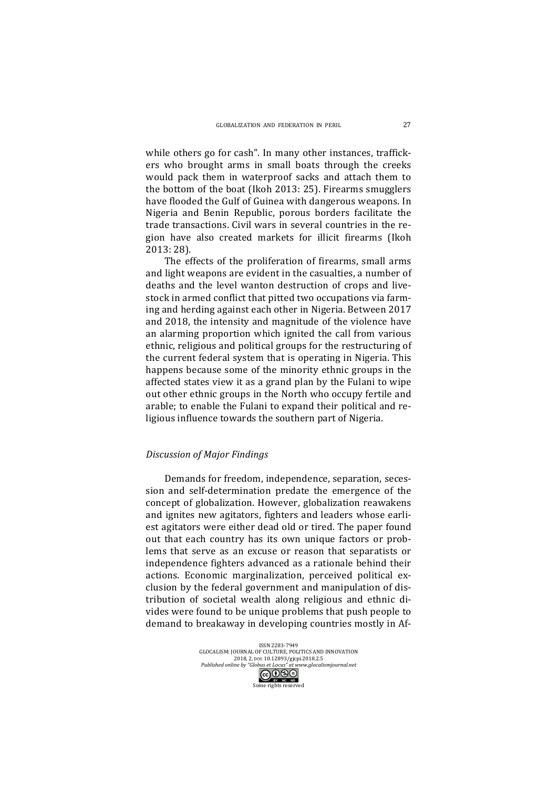while others go for cash". In many other instances, traffickers who brought arms in small boats through the creeks would pack them in waterproof sacks and attach them to the bottom of the boat (Ikoh 2013: 25). Firearms smugglers have flooded the Gulf of Guinea with dangerous weapons. In Nigeria and Benin Republic, porous borders facilitate the trade transactions. Civil wars in several countries in the region have also created markets for illicit firearms (Ikoh 2013: 28).

The effects of the proliferation of firearms, small arms and light weapons are evident in the casualties, a number of deaths and the level wanton destruction of crops and livestock in armed conflict that pitted two occupations via farming and herding against each other in Nigeria. Between 2017 and 2018, the intensity and magnitude of the violence have an alarming proportion which ignited the call from various ethnic, religious and political groups for the restructuring of the current federal system that is operating in Nigeria. This happens because some of the minority ethnic groups in the affected states view it as a grand plan by the Fulani to wipe out other ethnic groups in the North who occupy fertile and arable; to enable the Fulani to expand their political and religious influence towards the southern part of Nigeria.

## *Discussion of Major Findings*

Demands for freedom, independence, separation, secession and self-determination predate the emergence of the concept of globalization. However, globalization reawakens and ignites new agitators, fighters and leaders whose earliest agitators were either dead old or tired. The paper found out that each country has its own unique factors or problems that serve as an excuse or reason that separatists or independence fighters advanced as a rationale behind their actions. Economic marginalization, perceived political exclusion by the federal government and manipulation of distribution of societal wealth along religious and ethnic divides were found to be unique problems that push people to demand to breakaway in developing countries mostly in Af-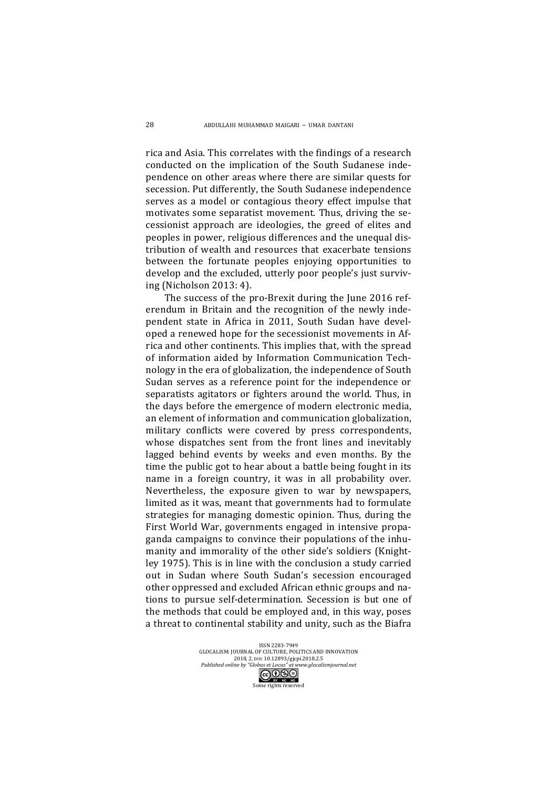rica and Asia. This correlates with the findings of a research conducted on the implication of the South Sudanese independence on other areas where there are similar quests for secession. Put differently, the South Sudanese independence serves as a model or contagious theory effect impulse that motivates some separatist movement. Thus, driving the secessionist approach are ideologies, the greed of elites and peoples in power, religious differences and the unequal distribution of wealth and resources that exacerbate tensions between the fortunate peoples enjoying opportunities to develop and the excluded, utterly poor people's just surviying (Nicholson 2013: 4). 

The success of the pro-Brexit during the June 2016 referendum in Britain and the recognition of the newly independent state in Africa in 2011, South Sudan have developed a renewed hope for the secessionist movements in Africa and other continents. This implies that, with the spread of information aided by Information Communication Technology in the era of globalization, the independence of South Sudan serves as a reference point for the independence or separatists agitators or fighters around the world. Thus, in the days before the emergence of modern electronic media, an element of information and communication globalization, military conflicts were covered by press correspondents, whose dispatches sent from the front lines and inevitably lagged behind events by weeks and even months. By the time the public got to hear about a battle being fought in its name in a foreign country, it was in all probability over. Nevertheless, the exposure given to war by newspapers, limited as it was, meant that governments had to formulate strategies for managing domestic opinion. Thus, during the First World War, governments engaged in intensive propaganda campaigns to convince their populations of the inhumanity and immorality of the other side's soldiers (Knightley 1975). This is in line with the conclusion a study carried out in Sudan where South Sudan's secession encouraged other oppressed and excluded African ethnic groups and nations to pursue self-determination. Secession is but one of the methods that could be employed and, in this way, poses a threat to continental stability and unity, such as the Biafra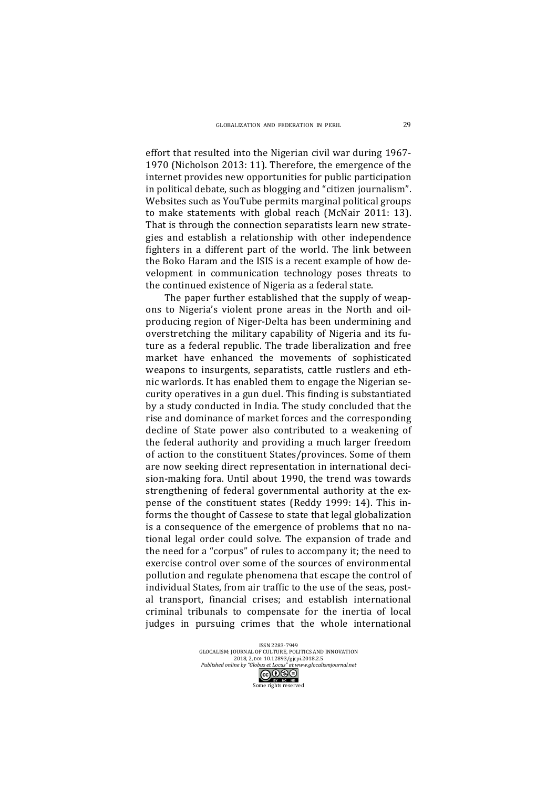effort that resulted into the Nigerian civil war during 1967-1970 (Nicholson 2013: 11). Therefore, the emergence of the internet provides new opportunities for public participation in political debate, such as blogging and "citizen journalism". Websites such as YouTube permits marginal political groups to make statements with global reach (McNair 2011: 13). That is through the connection separatists learn new strategies and establish a relationship with other independence fighters in a different part of the world. The link between the Boko Haram and the ISIS is a recent example of how development in communication technology poses threats to the continued existence of Nigeria as a federal state.

The paper further established that the supply of weapons to Nigeria's violent prone areas in the North and oilproducing region of Niger-Delta has been undermining and overstretching the military capability of Nigeria and its future as a federal republic. The trade liberalization and free market have enhanced the movements of sophisticated weapons to insurgents, separatists, cattle rustlers and ethnic warlords. It has enabled them to engage the Nigerian security operatives in a gun duel. This finding is substantiated by a study conducted in India. The study concluded that the rise and dominance of market forces and the corresponding decline of State power also contributed to a weakening of the federal authority and providing a much larger freedom of action to the constituent States/provinces. Some of them are now seeking direct representation in international decision-making fora. Until about 1990, the trend was towards strengthening of federal governmental authority at the expense of the constituent states (Reddy 1999: 14). This informs the thought of Cassese to state that legal globalization is a consequence of the emergence of problems that no national legal order could solve. The expansion of trade and the need for a "corpus" of rules to accompany it; the need to exercise control over some of the sources of environmental pollution and regulate phenomena that escape the control of individual States, from air traffic to the use of the seas, postal transport, financial crises; and establish international criminal tribunals to compensate for the inertia of local judges in pursuing crimes that the whole international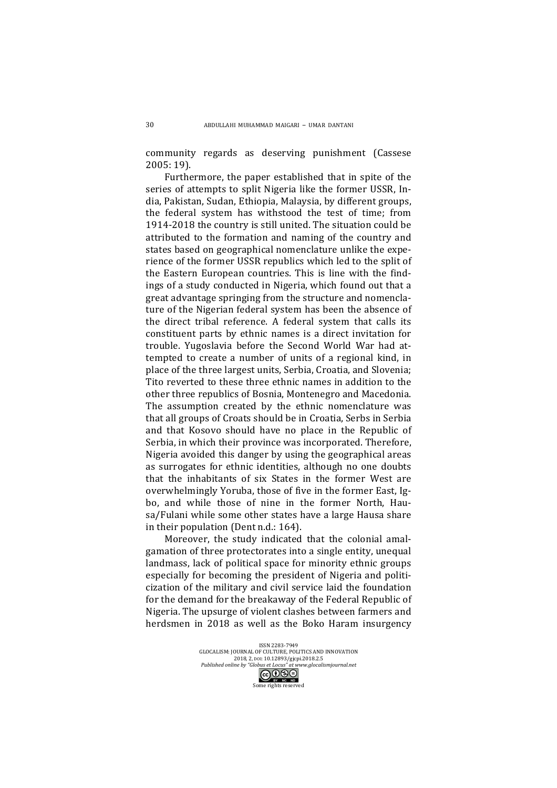community regards as deserving punishment (Cassese 2005: 19).

Furthermore, the paper established that in spite of the series of attempts to split Nigeria like the former USSR, India, Pakistan, Sudan, Ethiopia, Malaysia, by different groups, the federal system has withstood the test of time; from 1914-2018 the country is still united. The situation could be attributed to the formation and naming of the country and states based on geographical nomenclature unlike the experience of the former USSR republics which led to the split of the Eastern European countries. This is line with the findings of a study conducted in Nigeria, which found out that a great advantage springing from the structure and nomenclature of the Nigerian federal system has been the absence of the direct tribal reference. A federal system that calls its constituent parts by ethnic names is a direct invitation for trouble. Yugoslavia before the Second World War had attempted to create a number of units of a regional kind, in place of the three largest units, Serbia, Croatia, and Slovenia; Tito reverted to these three ethnic names in addition to the other three republics of Bosnia, Montenegro and Macedonia. The assumption created by the ethnic nomenclature was that all groups of Croats should be in Croatia, Serbs in Serbia and that Kosovo should have no place in the Republic of Serbia, in which their province was incorporated. Therefore, Nigeria avoided this danger by using the geographical areas as surrogates for ethnic identities, although no one doubts that the inhabitants of six States in the former West are overwhelmingly Yoruba, those of five in the former East, Igbo, and while those of nine in the former North, Hausa/Fulani while some other states have a large Hausa share in their population (Dent  $n.d.: 164$ ).

Moreover, the study indicated that the colonial amalgamation of three protectorates into a single entity, unequal landmass, lack of political space for minority ethnic groups especially for becoming the president of Nigeria and politicization of the military and civil service laid the foundation for the demand for the breakaway of the Federal Republic of Nigeria. The upsurge of violent clashes between farmers and herdsmen in 2018 as well as the Boko Haram insurgency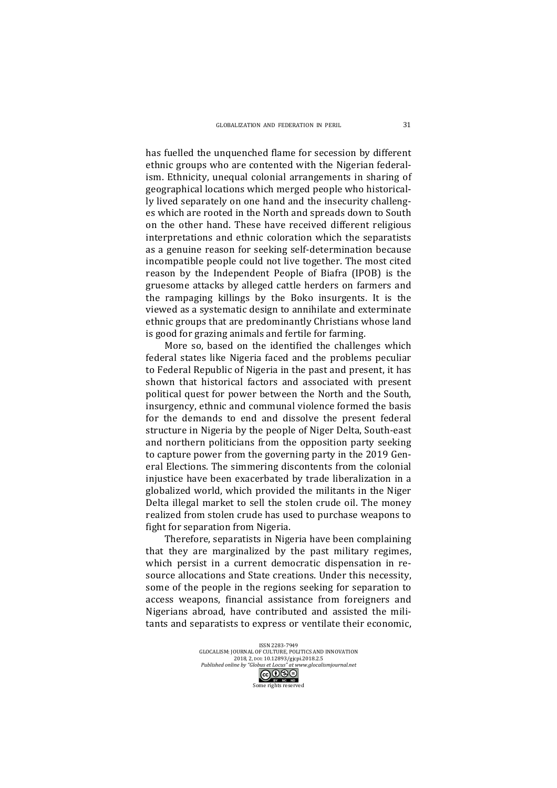has fuelled the unquenched flame for secession by different ethnic groups who are contented with the Nigerian federalism. Ethnicity, unequal colonial arrangements in sharing of geographical locations which merged people who historically lived separately on one hand and the insecurity challenges which are rooted in the North and spreads down to South on the other hand. These have received different religious interpretations and ethnic coloration which the separatists as a genuine reason for seeking self-determination because incompatible people could not live together. The most cited reason by the Independent People of Biafra (IPOB) is the gruesome attacks by alleged cattle herders on farmers and the rampaging killings by the Boko insurgents. It is the viewed as a systematic design to annihilate and exterminate ethnic groups that are predominantly Christians whose land is good for grazing animals and fertile for farming.

More so, based on the identified the challenges which federal states like Nigeria faced and the problems peculiar to Federal Republic of Nigeria in the past and present, it has shown that historical factors and associated with present political quest for power between the North and the South, insurgency, ethnic and communal violence formed the basis for the demands to end and dissolve the present federal structure in Nigeria by the people of Niger Delta, South-east and northern politicians from the opposition party seeking to capture power from the governing party in the 2019 General Elections. The simmering discontents from the colonial injustice have been exacerbated by trade liberalization in a globalized world, which provided the militants in the Niger Delta illegal market to sell the stolen crude oil. The money realized from stolen crude has used to purchase weapons to fight for separation from Nigeria.

Therefore, separatists in Nigeria have been complaining that they are marginalized by the past military regimes, which persist in a current democratic dispensation in resource allocations and State creations. Under this necessity, some of the people in the regions seeking for separation to access weapons, financial assistance from foreigners and Nigerians abroad, have contributed and assisted the militants and separatists to express or ventilate their economic,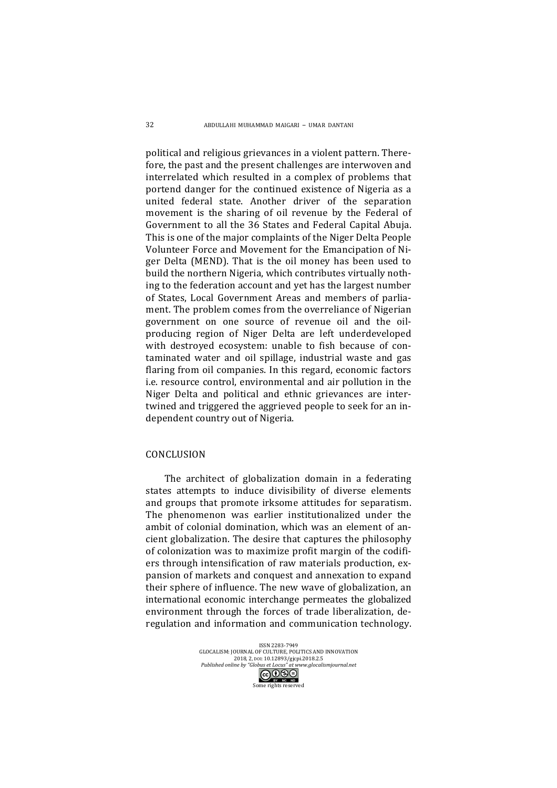political and religious grievances in a violent pattern. Therefore, the past and the present challenges are interwoven and interrelated which resulted in a complex of problems that portend danger for the continued existence of Nigeria as a united federal state. Another driver of the separation movement is the sharing of oil revenue by the Federal of Government to all the 36 States and Federal Capital Abuja. This is one of the major complaints of the Niger Delta People Volunteer Force and Movement for the Emancipation of Niger Delta (MEND). That is the oil money has been used to build the northern Nigeria, which contributes virtually nothing to the federation account and yet has the largest number of States, Local Government Areas and members of parliament. The problem comes from the overreliance of Nigerian government on one source of revenue oil and the oilproducing region of Niger Delta are left underdeveloped with destroyed ecosystem: unable to fish because of contaminated water and oil spillage, industrial waste and gas flaring from oil companies. In this regard, economic factors i.e. resource control, environmental and air pollution in the Niger Delta and political and ethnic grievances are intertwined and triggered the aggrieved people to seek for an independent country out of Nigeria.

### **CONCLUSION**

The architect of globalization domain in a federating states attempts to induce divisibility of diverse elements and groups that promote irksome attitudes for separatism. The phenomenon was earlier institutionalized under the ambit of colonial domination, which was an element of ancient globalization. The desire that captures the philosophy of colonization was to maximize profit margin of the codifiers through intensification of raw materials production, expansion of markets and conquest and annexation to expand their sphere of influence. The new wave of globalization, an international economic interchange permeates the globalized environment through the forces of trade liberalization, deregulation and information and communication technology.

> ISSN 2283-7949<br>GLOCALISM: JOURNAL OF CULTURE, POLITICS AND INNOVATION 2018, 2, pol: 10.12893/gjcpi.2018.2.5 *Published online by "Globus et Locus" at www.glocalismjournal.net*<br>  $\begin{array}{|c|c|}\n\hline\n\text{G}\bigodot\text{S}\ominus\n\end{array}$ me rights reserved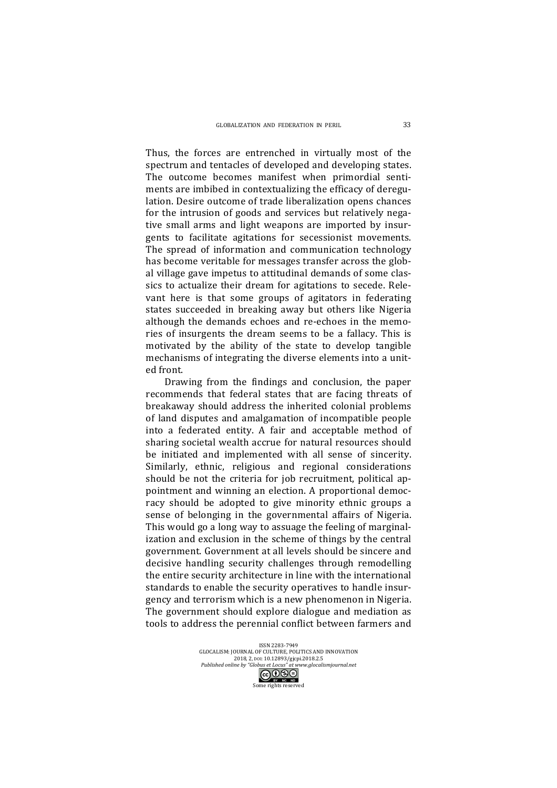Thus, the forces are entrenched in virtually most of the spectrum and tentacles of developed and developing states. The outcome becomes manifest when primordial sentiments are imbibed in contextualizing the efficacy of deregulation. Desire outcome of trade liberalization opens chances for the intrusion of goods and services but relatively negative small arms and light weapons are imported by insurgents to facilitate agitations for secessionist movements. The spread of information and communication technology has become veritable for messages transfer across the global village gave impetus to attitudinal demands of some classics to actualize their dream for agitations to secede. Relevant here is that some groups of agitators in federating states succeeded in breaking away but others like Nigeria although the demands echoes and re-echoes in the memories of insurgents the dream seems to be a fallacy. This is motivated by the ability of the state to develop tangible mechanisms of integrating the diverse elements into a united front.

Drawing from the findings and conclusion, the paper recommends that federal states that are facing threats of breakaway should address the inherited colonial problems of land disputes and amalgamation of incompatible people into a federated entity. A fair and acceptable method of sharing societal wealth accrue for natural resources should be initiated and implemented with all sense of sincerity. Similarly, ethnic, religious and regional considerations should be not the criteria for job recruitment, political appointment and winning an election. A proportional democracy should be adopted to give minority ethnic groups a sense of belonging in the governmental affairs of Nigeria. This would go a long way to assuage the feeling of marginalization and exclusion in the scheme of things by the central government. Government at all levels should be sincere and decisive handling security challenges through remodelling the entire security architecture in line with the international standards to enable the security operatives to handle insurgency and terrorism which is a new phenomenon in Nigeria. The government should explore dialogue and mediation as tools to address the perennial conflict between farmers and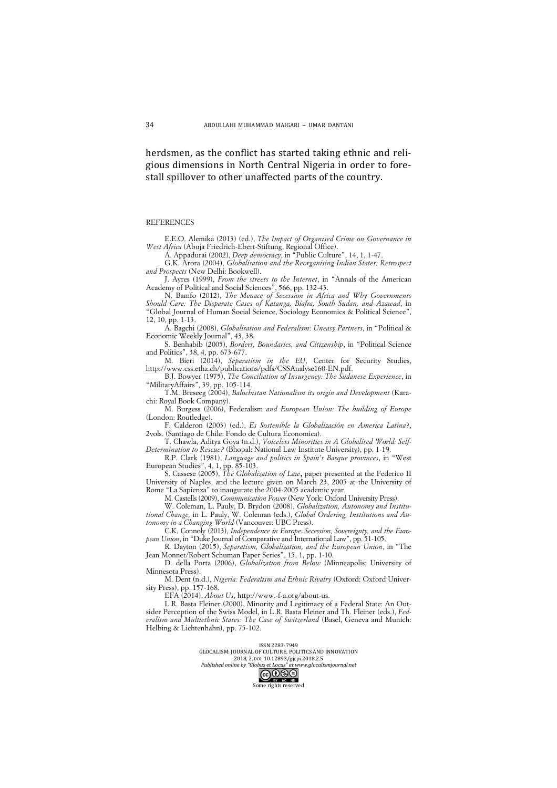herdsmen, as the conflict has started taking ethnic and religious dimensions in North Central Nigeria in order to forestall spillover to other unaffected parts of the country.

#### **REFERENCES**

E.E.O. Alemika (2013) (ed.), *The Impact of Organised Crime on Governance in West Africa* (Abuja Friedrich-Ebert-Stiftung, Regional Office).

A. Appadurai (2002), *Deep democracy*, in "Public Culture", 14, 1, 1-47.

G.K. Arora (2004), *Globalisation and the Reorganising Indian States: Retrospect and Prospects* (New Delhi: Bookwell).

J. Ayres (1999), *From the streets to the Internet*, in "Annals of the American Academy of Political and Social Sciences", 566, pp. 132-43.

N. Bamfo (2012), *The Menace of Secession in Africa and Why Governments Should Care: The Disparate Cases of Katanga, Biafra, South Sudan, and Azawad*, in "Global Journal of Human Social Science, Sociology Economics & Political Science", 12, 10, pp. 1-13.

A. Bagchi (2008), *Globalisation and Federalism: Uneasy Partners*, in "Political & Economic Weekly Journal", 43, 38.

S. Benhabib (2005), *Borders, Boundaries, and Citizenship*, in "Political Science and Politics", 38, 4, pp. 673-677.

M. Bieri (2014), *Separatism in the EU*, Center for Security Studies, http://www.css.ethz.ch/publications/pdfs/CSSAnalyse160-EN.pdf.

B.J. Bowyer (1975), *The Conciliation of Insurgency: The Sudanese Experience*, in "MilitaryAffairs", 39, pp. 105-114.

T.M. Breseeg (2004), *Balochistan Nationalism its origin and Development* (Karachi: Royal Book Company).

M. Burgess (2006), Federalism *and European Union: The building of Europe* (London: Routledge).

F. Calderon (2003) (ed.), *Es Sostenible la Globalización en America Latina*?, 2vols. (Santiago de Chile: Fondo de Cultura Economica).

T. Chawla, Aditya Goya (n.d.), *Voiceless Minorities in A Globalised World: Self-Determination to Rescue?* (Bhopal: National Law Institute University), pp. 1-19.

R.P. Clark (1981), *Language and politics in Spain's Basque provinces*, in "West European Studies", 4, 1, pp. 85-103.

S. Cassese (2005), *The Globalization of Law***,** paper presented at the Federico II University of Naples, and the lecture given on March 23, 2005 at the University of Rome "La Sapienza" to inaugurate the 2004-2005 academic year.

M. Castells (2009), *Communication Power* (New York: Oxford University Press).

W. Coleman, L. Pauly, D. Brydon (2008), *Globalization, Autonomy and Institutional Change,* in L. Pauly, W. Coleman (eds.), *Global Ordering, Institutions and Autonomy in a Changing World* (Vancouver: UBC Press).

C.K. Connoly (2013), *Independence in Europe: Secession, Sovereignty, and the European Union*, in "Duke Journal of Comparative and International Law", pp. 51-105.

R. Dayton (2015), *Separatism, Globalization, and the European Union*, in "The Jean Monnet/Robert Schuman Paper Series", 15, 1, pp. 1-10.

D. della Porta (2006), *Globalization from Below* (Minneapolis: University of Minnesota Press).

M. Dent (n.d.), *Nigeria: Federalism and Ethnic Rivalry* (Oxford: Oxford University Press), pp. 157-168.

EFA (2014), *About Us*, http://www.-f-a.org/about-us.

L.R. Basta Fleiner (2000), Minority and Legitimacy of a Federal State: An Outsider Perception of the Swiss Model, in L.R. Basta Fleiner and Th. Fleiner (eds.), *Federalism and Multiethnic States: The Case of Switzerland* (Basel, Geneva and Munich: Helbing & Lichtenhahn), pp. 75-102.

ISSN 2283-7949<br>GLOCALISM: JOURNAL OF CULTURE, POLITICS AND INNOVATION 2018, 2, pol: 10.12893/gjcpi.2018.2.5

*Published online by "Globus et Locus" at www.glocalismjournal.net*<br>  $\boxed{\mathbf{G}\mathbf{O}\mathbf{\mathbf{\odot}}\Theta}$ 

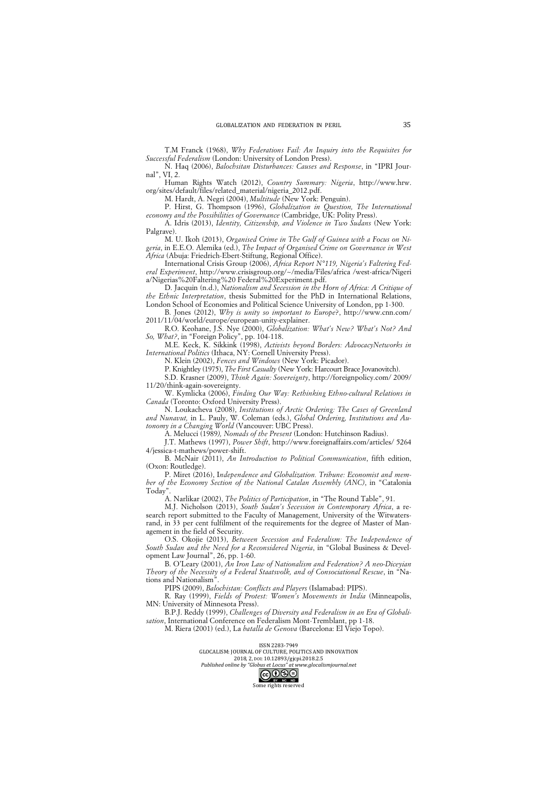T.M Franck (1968), *Why Federations Fail: An Inquiry into the Requisites for Successful Federalism* (London: University of London Press).

N. Haq (2006), *Balochsitan Disturbances: Causes and Response*, in "IPRI Journal", VI $\overline{2}$ .

Human Rights Watch (2012), *Country Summary: Nigeria*, http://www.hrw. org/sites/default/files/related\_material/nigeria\_2012.pdf.

M. Hardt, A. Negri (2004), *Multitude* (New York: Penguin).

P. Hirst, G. Thompson (1996), *Globalization in Question, The International economy and the Possibilities of Governance* (Cambridge, UK: Polity Press).

A. Idris (2013), *Identity, Citizenship, and Violence in Two Sudans* (New York: Palgrave).

M. U. Ikoh (2013), *Organised Crime in The Gulf of Guinea with a Focus on Nigeria*, in E.E.O. Alemika (ed.), *The Impact of Organised Crime on Governance in West Africa* (Abuja: Friedrich-Ebert-Stiftung, Regional Office).

International Crisis Group (2006), *Africa Report N°119, Nigeria's Faltering Federal Experiment*, http://www.crisisgroup.org/~/media/Files/africa /west-africa/Nigeri a/Nigerias%20Faltering%20 Federal%20Experiment.pdf.

D. Jacquin (n.d.), *Nationalism and Secession in the Horn of Africa: A Critique of the Ethnic Interpretation*, thesis Submitted for the PhD in International Relations, London School of Economies and Political Science University of London, pp 1-300.

B. Jones (2012), *Why is unity so important to Europe*?, http://www.cnn.com/ 2011/11/04/world/europe/european-unity-explainer.

R.O. Keohane, J.S. Nye (2000), *Globalization: What's New? What's Not? And So, What?*, in "Foreign Policy", pp. 104-118.

M.E. Keck, K. Sikkink (1998), *Activists beyond Borders: AdvocacyNetworks in International Politics* (Ithaca, NY: Cornell University Press).

N. Klein (2002), *Fences and Windows* (New York: Picador).

P. Knightley (1975), *The First Casualty* (New York: Harcourt Brace Jovanovitch).

S.D. Krasner (2009), *Think Again: Sovereignty*, http://foreignpolicy.com/ 2009/ 11/20/think-again-sovereignty.

W. Kymlicka (2006), *Finding Our Way: Rethinking Ethno-cultural Relations in Canada* (Toronto: Oxford University Press).

N. Loukacheva (2008), *Institutions of Arctic Ordering: The Cases of Greenland and Nunavut,* in L. Pauly, W. Coleman (eds.), *Global Ordering, Institutions and Autonomy in a Changing World* (Vancouver: UBC Press).

A. Melucci (1989*), Nomads of the Present* (London: Hutchinson Radius).

J.T. Mathews (1997), *Power Shift*, http://www.foreignaffairs.com/articles/ 5264 4/jessica-t-mathews/power-shift.

B. McNair (2011), *An Introduction to Political Communication*, fifth edition, (Oxon: Routledge).

P. Miret (2016), I*ndependence and Globalization. Tribune: Economist and member of the Economy Section of the National Catalan Assembly (ANC)*, in "Catalonia Today

A. Narlikar (2002), *The Politics of Participation*, in "The Round Table", 91.

M.J. Nicholson (2013), *South Sudan's Secession in Contemporary Africa*, a research report submitted to the Faculty of Management, University of the Witwatersrand, in 33 per cent fulfilment of the requirements for the degree of Master of Management in the field of Security.

O.S. Okojie (2013), *Between Secession and Federalism: The Independence of South Sudan and the Need for a Reconsidered Nigeria*, in "Global Business & Development Law Journal", 26, pp. 1-60.

B. O'Leary (2001), *An Iron Law of Nationalism and Federation? A neo-Diceyian Theory of the Necessity of a Federal Staatsvolk, and of Consociational Rescue*, in "Nations and Nationalism".

PIPS (2009), *Balochistan: Conflicts and Players* (Islamabad: PIPS).

R. Ray (1999), *Fields of Protest: Women's Movements in India* (Minneapolis, MN: University of Minnesota Press).

B.P.J. Reddy (1999), *Challenges of Diversity and Federalism in an Era of Globalisation*, International Conference on Federalism Mont-Tremblant, pp 1-18.

M. Riera (2001) (ed.), La *batalla de Genova* (Barcelona: El Viejo Topo).

ISSN 2283-7949<br>GLOCALISM: JOURNAL OF CULTURE, POLITICS AND INNOVATION 2018, 2, pol: 10.12893/gjcpi.2018.2.5 *Published online by "Globus et Locus" at www.glocalismjournal.net*<br>  $\bigodot \bigodot \bigodot \bigodot \bigodot$